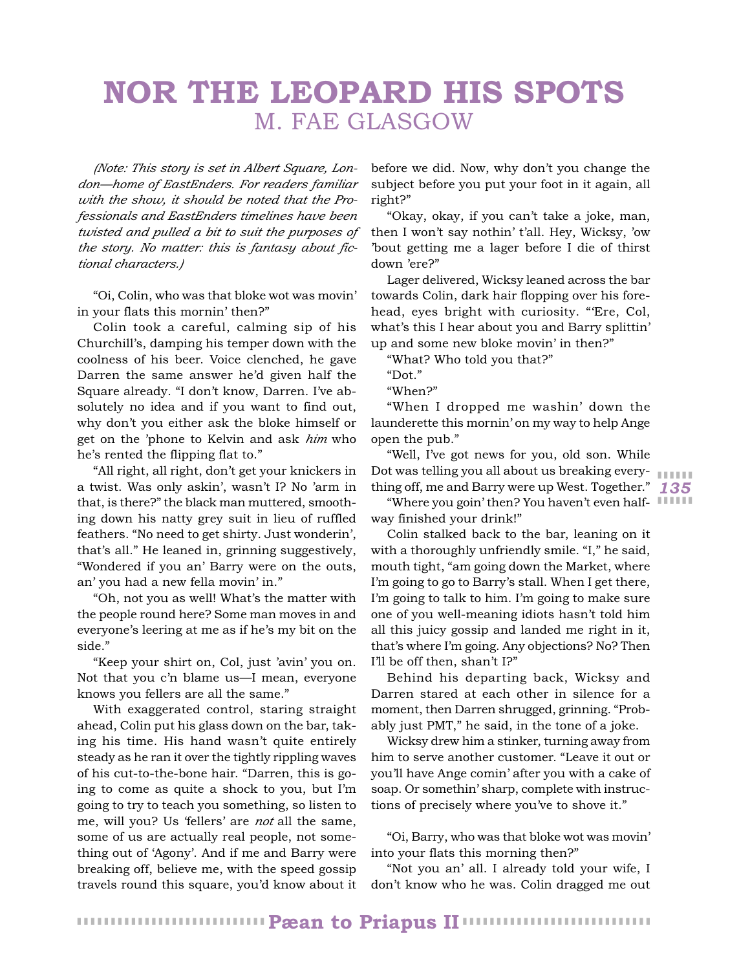# **NOR THE LEOPARD HIS SPOTS** M. FAE GLASGOW

*(Note: This story is set in Albert Square, London—home of EastEnders. For readers familiar with the show, it should be noted that the Professionals and EastEnders timelines have been twisted and pulled a bit to suit the purposes of the story. No matter: this is fantasy about fictional characters.)*

"Oi, Colin, who was that bloke wot was movin' in your flats this mornin' then?"

Colin took a careful, calming sip of his Churchill's, damping his temper down with the coolness of his beer. Voice clenched, he gave Darren the same answer he'd given half the Square already. "I don't know, Darren. I've absolutely no idea and if you want to find out, why don't you either ask the bloke himself or get on the 'phone to Kelvin and ask *him* who he's rented the flipping flat to."

"All right, all right, don't get your knickers in a twist. Was only askin', wasn't I? No 'arm in that, is there?" the black man muttered, smoothing down his natty grey suit in lieu of ruffled feathers. "No need to get shirty. Just wonderin', that's all." He leaned in, grinning suggestively, "Wondered if you an' Barry were on the outs, an' you had a new fella movin' in."

"Oh, not you as well! What's the matter with the people round here? Some man moves in and everyone's leering at me as if he's my bit on the side."

"Keep your shirt on, Col, just 'avin' you on. Not that you c'n blame us—I mean, everyone knows you fellers are all the same."

With exaggerated control, staring straight ahead, Colin put his glass down on the bar, taking his time. His hand wasn't quite entirely steady as he ran it over the tightly rippling waves of his cut-to-the-bone hair. "Darren, this is going to come as quite a shock to you, but I'm going to try to teach you something, so listen to me, will you? Us 'fellers' are *not* all the same, some of us are actually real people, not something out of 'Agony'. And if me and Barry were breaking off, believe me, with the speed gossip travels round this square, you'd know about it

before we did. Now, why don't you change the subject before you put your foot in it again, all right?"

"Okay, okay, if you can't take a joke, man, then I won't say nothin' t'all. Hey, Wicksy, 'ow 'bout getting me a lager before I die of thirst down 'ere?"

Lager delivered, Wicksy leaned across the bar towards Colin, dark hair flopping over his forehead, eyes bright with curiosity. "'Ere, Col, what's this I hear about you and Barry splittin' up and some new bloke movin' in then?"

"What? Who told you that?"

"When?"

"When I dropped me washin' down the launderette this mornin' on my way to help Ange open the pub."

*135* thing off, me and Barry were up West. Together." Dot was telling you all about us breaking every- **with the** "Well, I've got news for you, old son. While

"Where you goin' then? You haven't even halfway finished your drink!"

Colin stalked back to the bar, leaning on it with a thoroughly unfriendly smile. "I," he said, mouth tight, "am going down the Market, where I'm going to go to Barry's stall. When I get there, I'm going to talk to him. I'm going to make sure one of you well-meaning idiots hasn't told him all this juicy gossip and landed me right in it, that's where I'm going. Any objections? No? Then I'll be off then, shan't I?"

Behind his departing back, Wicksy and Darren stared at each other in silence for a moment, then Darren shrugged, grinning. "Probably just PMT," he said, in the tone of a joke.

Wicksy drew him a stinker, turning away from him to serve another customer. "Leave it out or you'll have Ange comin' after you with a cake of soap. Or somethin' sharp, complete with instructions of precisely where you've to shove it."

"Oi, Barry, who was that bloke wot was movin' into your flats this morning then?"

"Not you an' all. I already told your wife, I don't know who he was. Colin dragged me out

<sup>&</sup>quot;Dot."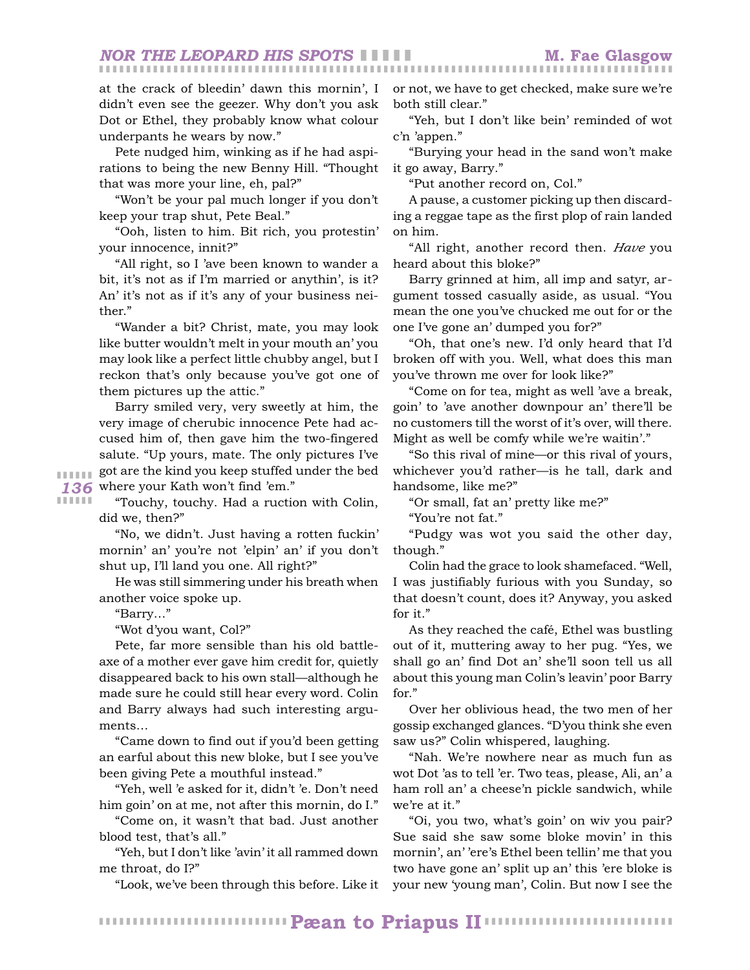*NOR THE LEOPARD HIS SPOTS* ❚ ❚ ❚ ❚ ❚ **M. Fae Glasgow**

at the crack of bleedin' dawn this mornin', I didn't even see the geezer. Why don't you ask Dot or Ethel, they probably know what colour underpants he wears by now."

Pete nudged him, winking as if he had aspirations to being the new Benny Hill. "Thought that was more your line, eh, pal?"

"Won't be your pal much longer if you don't keep your trap shut, Pete Beal."

"Ooh, listen to him. Bit rich, you protestin' your innocence, innit?"

"All right, so I 'ave been known to wander a bit, it's not as if I'm married or anythin', is it? An' it's not as if it's any of your business neither."

"Wander a bit? Christ, mate, you may look like butter wouldn't melt in your mouth an' you may look like a perfect little chubby angel, but I reckon that's only because you've got one of them pictures up the attic."

136 where your Kath won't find 'em." Barry smiled very, very sweetly at him, the very image of cherubic innocence Pete had accused him of, then gave him the two-fingered salute. "Up yours, mate. The only pictures I've got are the kind you keep stuffed under the bed

❚ ❚ ❚ ❚ ❚ ❚ ❚ ❚ ❚ ❚ ❚ ❚

"Touchy, touchy. Had a ruction with Colin, did we, then?"

"No, we didn't. Just having a rotten fuckin' mornin' an' you're not 'elpin' an' if you don't shut up, I'll land you one. All right?"

He was still simmering under his breath when another voice spoke up.

"Barry…"

"Wot d'you want, Col?"

Pete, far more sensible than his old battleaxe of a mother ever gave him credit for, quietly disappeared back to his own stall—although he made sure he could still hear every word. Colin and Barry always had such interesting arguments…

"Came down to find out if you'd been getting an earful about this new bloke, but I see you've been giving Pete a mouthful instead."

"Yeh, well 'e asked for it, didn't 'e. Don't need him goin' on at me, not after this mornin, do I."

"Come on, it wasn't that bad. Just another blood test, that's all."

"Yeh, but I don't like 'avin' it all rammed down me throat, do I?"

"Look, we've been through this before. Like it

or not, we have to get checked, make sure we're both still clear."

❚ ❚ ❚ ❚ ❚ ❚ ❚ ❚ ❚ ❚ ❚ ❚ ❚ ❚ ❚ ❚ ❚ ❚ ❚ ❚ ❚ ❚ ❚ ❚ ❚ ❚ ❚ ❚ ❚ ❚ ❚ ❚ ❚ ❚ ❚ ❚ ❚ ❚ ❚ ❚ ❚ ❚ ❚ ❚ ❚ ❚ ❚ ❚ ❚ ❚ ❚ ❚ ❚ ❚ ❚ ❚ ❚ ❚ ❚ ❚ ❚ ❚ ❚ ❚ ❚ ❚ ❚ ❚ ❚ ❚ ❚ ❚ ❚ ❚ ❚ ❚ ❚ ❚ ❚ ❚ ❚ ❚ ❚ ❚ ❚

"Yeh, but I don't like bein' reminded of wot c'n 'appen."

"Burying your head in the sand won't make it go away, Barry."

"Put another record on, Col."

A pause, a customer picking up then discarding a reggae tape as the first plop of rain landed on him.

"All right, another record then. *Have* you heard about this bloke?"

Barry grinned at him, all imp and satyr, argument tossed casually aside, as usual. "You mean the one you've chucked me out for or the one I've gone an' dumped you for?"

"Oh, that one's new. I'd only heard that I'd broken off with you. Well, what does this man you've thrown me over for look like?"

"Come on for tea, might as well 'ave a break, goin' to 'ave another downpour an' there'll be no customers till the worst of it's over, will there. Might as well be comfy while we're waitin'."

"So this rival of mine—or this rival of yours, whichever you'd rather—is he tall, dark and handsome, like me?"

"Or small, fat an' pretty like me?"

"You're not fat."

"Pudgy was wot you said the other day, though."

Colin had the grace to look shamefaced. "Well, I was justifiably furious with you Sunday, so that doesn't count, does it? Anyway, you asked for it."

As they reached the café, Ethel was bustling out of it, muttering away to her pug. "Yes, we shall go an' find Dot an' she'll soon tell us all about this young man Colin's leavin' poor Barry for."

Over her oblivious head, the two men of her gossip exchanged glances. "D'you think she even saw us?" Colin whispered, laughing.

"Nah. We're nowhere near as much fun as wot Dot 'as to tell 'er. Two teas, please, Ali, an' a ham roll an' a cheese'n pickle sandwich, while we're at it."

"Oi, you two, what's goin' on wiv you pair? Sue said she saw some bloke movin' in this mornin', an' 'ere's Ethel been tellin' me that you two have gone an' split up an' this 'ere bloke is your new 'young man', Colin. But now I see the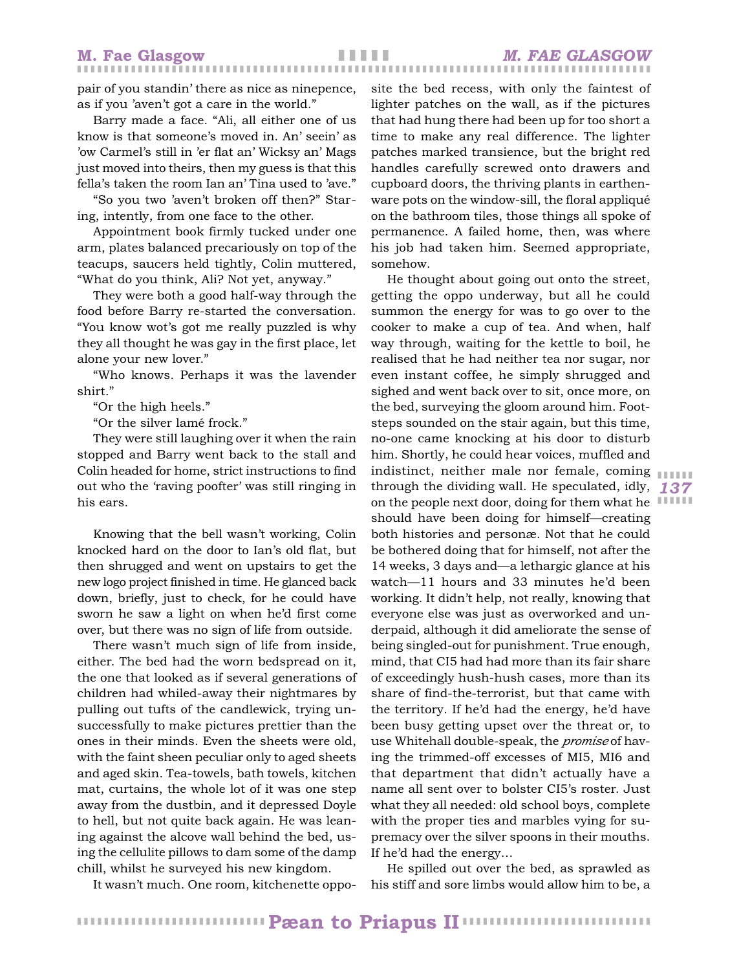pair of you standin' there as nice as ninepence, as if you 'aven't got a care in the world."

Barry made a face. "Ali, all either one of us know is that someone's moved in. An' seein' as 'ow Carmel's still in 'er flat an' Wicksy an' Mags just moved into theirs, then my guess is that this fella's taken the room Ian an' Tina used to 'ave."

"So you two 'aven't broken off then?" Staring, intently, from one face to the other.

Appointment book firmly tucked under one arm, plates balanced precariously on top of the teacups, saucers held tightly, Colin muttered, "What do you think, Ali? Not yet, anyway."

They were both a good half-way through the food before Barry re-started the conversation. "You know wot's got me really puzzled is why they all thought he was gay in the first place, let alone your new lover."

"Who knows. Perhaps it was the lavender shirt."

"Or the high heels."

"Or the silver lamé frock."

They were still laughing over it when the rain stopped and Barry went back to the stall and Colin headed for home, strict instructions to find out who the 'raving poofter' was still ringing in his ears.

Knowing that the bell wasn't working, Colin knocked hard on the door to Ian's old flat, but then shrugged and went on upstairs to get the new logo project finished in time. He glanced back down, briefly, just to check, for he could have sworn he saw a light on when he'd first come over, but there was no sign of life from outside.

There wasn't much sign of life from inside, either. The bed had the worn bedspread on it, the one that looked as if several generations of children had whiled-away their nightmares by pulling out tufts of the candlewick, trying unsuccessfully to make pictures prettier than the ones in their minds. Even the sheets were old, with the faint sheen peculiar only to aged sheets and aged skin. Tea-towels, bath towels, kitchen mat, curtains, the whole lot of it was one step away from the dustbin, and it depressed Doyle to hell, but not quite back again. He was leaning against the alcove wall behind the bed, using the cellulite pillows to dam some of the damp chill, whilst he surveyed his new kingdom.

It wasn't much. One room, kitchenette oppo-

site the bed recess, with only the faintest of lighter patches on the wall, as if the pictures that had hung there had been up for too short a time to make any real difference. The lighter patches marked transience, but the bright red handles carefully screwed onto drawers and cupboard doors, the thriving plants in earthenware pots on the window-sill, the floral appliqué on the bathroom tiles, those things all spoke of permanence. A failed home, then, was where his job had taken him. Seemed appropriate, somehow.

*137* through the dividing wall. He speculated, idly, on the people next door, doing for them what he He thought about going out onto the street, getting the oppo underway, but all he could summon the energy for was to go over to the cooker to make a cup of tea. And when, half way through, waiting for the kettle to boil, he realised that he had neither tea nor sugar, nor even instant coffee, he simply shrugged and sighed and went back over to sit, once more, on the bed, surveying the gloom around him. Footsteps sounded on the stair again, but this time, no-one came knocking at his door to disturb him. Shortly, he could hear voices, muffled and indistinct, neither male nor female, coming should have been doing for himself—creating both histories and personæ. Not that he could be bothered doing that for himself, not after the 14 weeks, 3 days and—a lethargic glance at his watch—11 hours and 33 minutes he'd been working. It didn't help, not really, knowing that everyone else was just as overworked and underpaid, although it did ameliorate the sense of being singled-out for punishment. True enough, mind, that CI5 had had more than its fair share of exceedingly hush-hush cases, more than its share of find-the-terrorist, but that came with the territory. If he'd had the energy, he'd have been busy getting upset over the threat or, to use Whitehall double-speak, the *promise* of having the trimmed-off excesses of MI5, MI6 and that department that didn't actually have a name all sent over to bolster CI5's roster. Just what they all needed: old school boys, complete with the proper ties and marbles vying for supremacy over the silver spoons in their mouths. If he'd had the energy…

❚ ❚ ❚ ❚ ❚ ❚

He spilled out over the bed, as sprawled as his stiff and sore limbs would allow him to be, a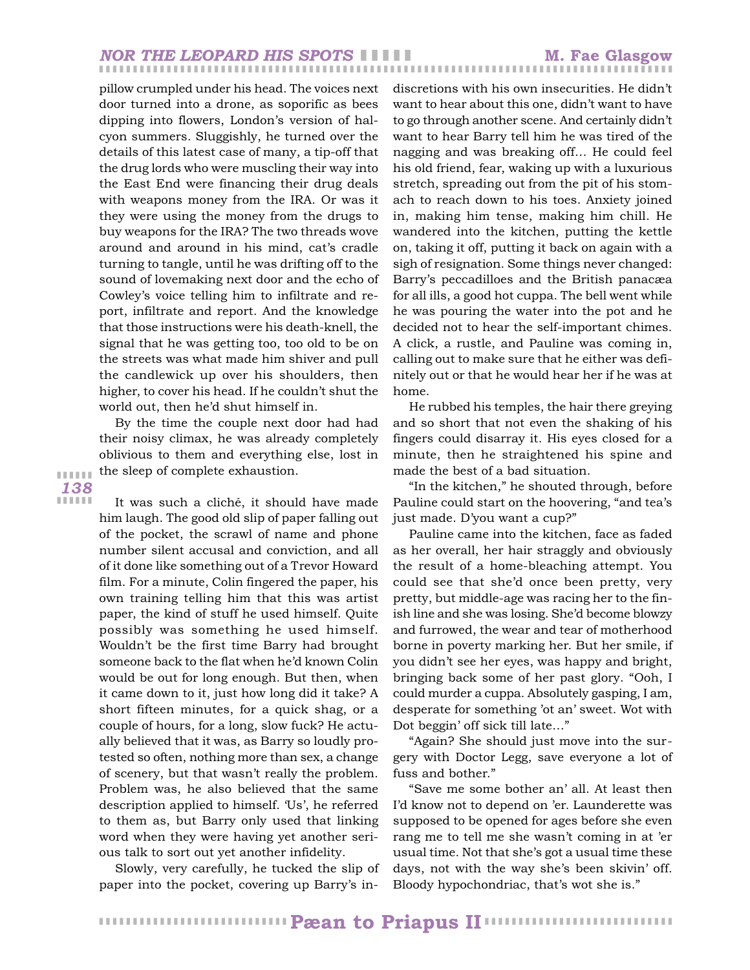### ❚ ❚ ❚ ❚ ❚ ❚ ❚ ❚ ❚ ❚ ❚ ❚ ❚ ❚ ❚ ❚ ❚ ❚ ❚ ❚ ❚ ❚ ❚ ❚ ❚ ❚ ❚ ❚ ❚ ❚ ❚ ❚ ❚ ❚ ❚ ❚ ❚ ❚ ❚ ❚ ❚ ❚ ❚ ❚ ❚ ❚ ❚ ❚ ❚ ❚ ❚ ❚ ❚ ❚ ❚ ❚ ❚ ❚ ❚ ❚ ❚ ❚ ❚ ❚ ❚ ❚ ❚ ❚ ❚ ❚ ❚ ❚ ❚ ❚ ❚ ❚ ❚ ❚ ❚ ❚ ❚ ❚ ❚ ❚ ❚ *NOR THE LEOPARD HIS SPOTS* ❚ ❚ ❚ ❚ ❚ **M. Fae Glasgow**

pillow crumpled under his head. The voices next door turned into a drone, as soporific as bees dipping into flowers, London's version of halcyon summers. Sluggishly, he turned over the details of this latest case of many, a tip-off that the drug lords who were muscling their way into the East End were financing their drug deals with weapons money from the IRA. Or was it they were using the money from the drugs to buy weapons for the IRA? The two threads wove around and around in his mind, cat's cradle turning to tangle, until he was drifting off to the sound of lovemaking next door and the echo of Cowley's voice telling him to infiltrate and report, infiltrate and report. And the knowledge that those instructions were his death-knell, the signal that he was getting too, too old to be on the streets was what made him shiver and pull the candlewick up over his shoulders, then higher, to cover his head. If he couldn't shut the world out, then he'd shut himself in.

By the time the couple next door had had their noisy climax, he was already completely oblivious to them and everything else, lost in the sleep of complete exhaustion.

*138* ❚ ❚ ❚ ❚ ❚ ❚ ❚ ❚ ❚ ❚ ❚ ❚

It was such a cliché, it should have made him laugh. The good old slip of paper falling out of the pocket, the scrawl of name and phone number silent accusal and conviction, and all of it done like something out of a Trevor Howard film. For a minute, Colin fingered the paper, his own training telling him that this was artist paper, the kind of stuff he used himself. Quite possibly was something he used himself. Wouldn't be the first time Barry had brought someone back to the flat when he'd known Colin would be out for long enough. But then, when it came down to it, just how long did it take? A short fifteen minutes, for a quick shag, or a couple of hours, for a long, slow fuck? He actually believed that it was, as Barry so loudly protested so often, nothing more than sex, a change of scenery, but that wasn't really the problem. Problem was, he also believed that the same description applied to himself. 'Us', he referred to them as, but Barry only used that linking word when they were having yet another serious talk to sort out yet another infidelity.

Slowly, very carefully, he tucked the slip of paper into the pocket, covering up Barry's indiscretions with his own insecurities. He didn't want to hear about this one, didn't want to have to go through another scene. And certainly didn't want to hear Barry tell him he was tired of the nagging and was breaking off… He could feel his old friend, fear, waking up with a luxurious stretch, spreading out from the pit of his stomach to reach down to his toes. Anxiety joined in, making him tense, making him chill. He wandered into the kitchen, putting the kettle on, taking it off, putting it back on again with a sigh of resignation. Some things never changed: Barry's peccadilloes and the British panacæa for all ills, a good hot cuppa. The bell went while he was pouring the water into the pot and he decided not to hear the self-important chimes. A click, a rustle, and Pauline was coming in, calling out to make sure that he either was definitely out or that he would hear her if he was at home.

He rubbed his temples, the hair there greying and so short that not even the shaking of his fingers could disarray it. His eyes closed for a minute, then he straightened his spine and made the best of a bad situation.

"In the kitchen," he shouted through, before Pauline could start on the hoovering, "and tea's just made. D'you want a cup?"

Pauline came into the kitchen, face as faded as her overall, her hair straggly and obviously the result of a home-bleaching attempt. You could see that she'd once been pretty, very pretty, but middle-age was racing her to the finish line and she was losing. She'd become blowzy and furrowed, the wear and tear of motherhood borne in poverty marking her. But her smile, if you didn't see her eyes, was happy and bright, bringing back some of her past glory. "Ooh, I could murder a cuppa. Absolutely gasping, I am, desperate for something 'ot an' sweet. Wot with Dot beggin' off sick till late…"

"Again? She should just move into the surgery with Doctor Legg, save everyone a lot of fuss and bother."

"Save me some bother an' all. At least then I'd know not to depend on 'er. Launderette was supposed to be opened for ages before she even rang me to tell me she wasn't coming in at 'er usual time. Not that she's got a usual time these days, not with the way she's been skivin' off. Bloody hypochondriac, that's wot she is."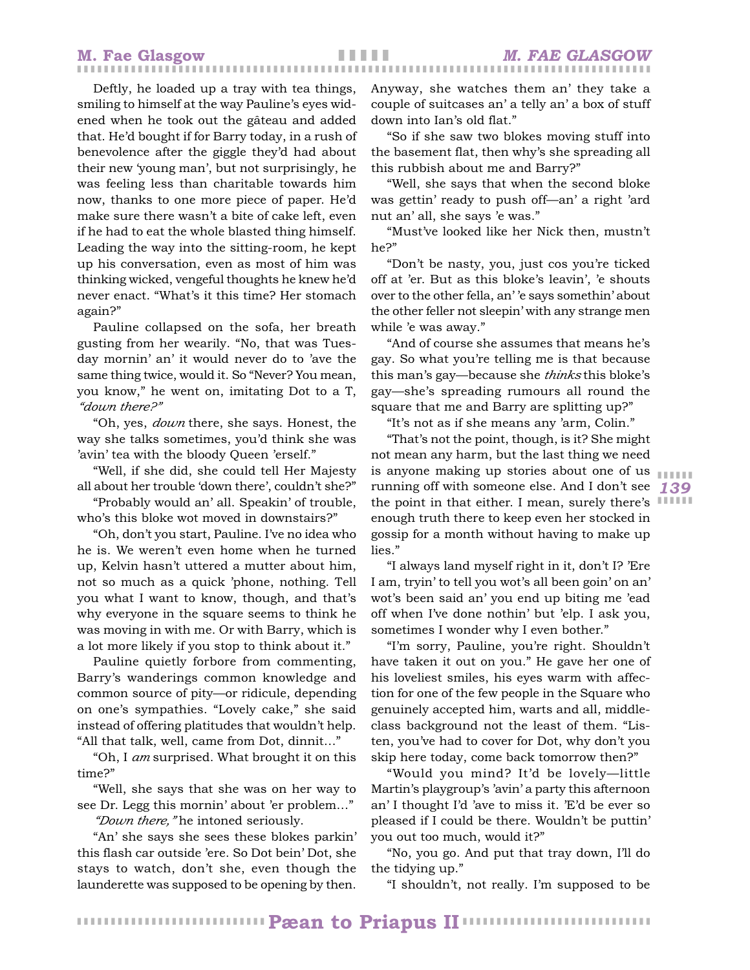Deftly, he loaded up a tray with tea things, smiling to himself at the way Pauline's eyes widened when he took out the gâteau and added that. He'd bought if for Barry today, in a rush of benevolence after the giggle they'd had about their new 'young man', but not surprisingly, he was feeling less than charitable towards him now, thanks to one more piece of paper. He'd make sure there wasn't a bite of cake left, even if he had to eat the whole blasted thing himself. Leading the way into the sitting-room, he kept up his conversation, even as most of him was thinking wicked, vengeful thoughts he knew he'd never enact. "What's it this time? Her stomach again?"

Pauline collapsed on the sofa, her breath gusting from her wearily. "No, that was Tuesday mornin' an' it would never do to 'ave the same thing twice, would it. So "Never? You mean, you know," he went on, imitating Dot to a T, *"down there?"*

"Oh, yes, *down* there, she says. Honest, the way she talks sometimes, you'd think she was 'avin' tea with the bloody Queen 'erself."

"Well, if she did, she could tell Her Majesty all about her trouble 'down there', couldn't she?"

"Probably would an' all. Speakin' of trouble, who's this bloke wot moved in downstairs?"

"Oh, don't you start, Pauline. I've no idea who he is. We weren't even home when he turned up, Kelvin hasn't uttered a mutter about him, not so much as a quick 'phone, nothing. Tell you what I want to know, though, and that's why everyone in the square seems to think he was moving in with me. Or with Barry, which is a lot more likely if you stop to think about it."

Pauline quietly forbore from commenting, Barry's wanderings common knowledge and common source of pity—or ridicule, depending on one's sympathies. "Lovely cake," she said instead of offering platitudes that wouldn't help. "All that talk, well, came from Dot, dinnit…"

"Oh, I *am* surprised. What brought it on this time?"

"Well, she says that she was on her way to see Dr. Legg this mornin' about 'er problem…" *"Down there,"* he intoned seriously.

"An' she says she sees these blokes parkin' this flash car outside 'ere. So Dot bein' Dot, she stays to watch, don't she, even though the launderette was supposed to be opening by then. Anyway, she watches them an' they take a couple of suitcases an' a telly an' a box of stuff down into Ian's old flat."

"So if she saw two blokes moving stuff into the basement flat, then why's she spreading all this rubbish about me and Barry?"

"Well, she says that when the second bloke was gettin' ready to push off—an' a right 'ard nut an' all, she says 'e was."

"Must've looked like her Nick then, mustn't he?"

"Don't be nasty, you, just cos you're ticked off at 'er. But as this bloke's leavin', 'e shouts over to the other fella, an' 'e says somethin' about the other feller not sleepin' with any strange men while 'e was away."

"And of course she assumes that means he's gay. So what you're telling me is that because this man's gay—because she *thinks* this bloke's gay—she's spreading rumours all round the square that me and Barry are splitting up?"

"It's not as if she means any 'arm, Colin."

*139* running off with someone else. And I don't see the point in that either. I mean, surely there's IIIIII "That's not the point, though, is it? She might not mean any harm, but the last thing we need is anyone making up stories about one of us enough truth there to keep even her stocked in gossip for a month without having to make up lies."

"I always land myself right in it, don't I? 'Ere I am, tryin' to tell you wot's all been goin' on an' wot's been said an' you end up biting me 'ead off when I've done nothin' but 'elp. I ask you, sometimes I wonder why I even bother."

"I'm sorry, Pauline, you're right. Shouldn't have taken it out on you." He gave her one of his loveliest smiles, his eyes warm with affection for one of the few people in the Square who genuinely accepted him, warts and all, middleclass background not the least of them. "Listen, you've had to cover for Dot, why don't you skip here today, come back tomorrow then?"

"Would you mind? It'd be lovely—little Martin's playgroup's 'avin' a party this afternoon an' I thought I'd 'ave to miss it. 'E'd be ever so pleased if I could be there. Wouldn't be puttin' you out too much, would it?"

"No, you go. And put that tray down, I'll do the tidying up."

"I shouldn't, not really. I'm supposed to be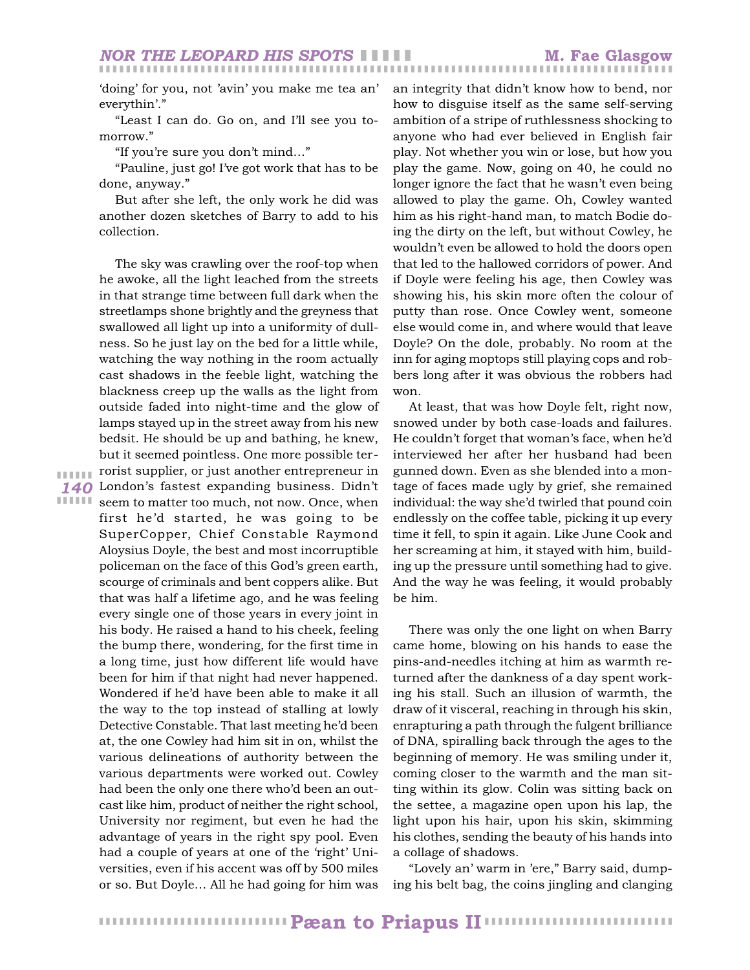'doing' for you, not 'avin' you make me tea an' everythin'."

"Least I can do. Go on, and I'll see you tomorrow."

"If you're sure you don't mind…"

"Pauline, just go! I've got work that has to be done, anyway."

But after she left, the only work he did was another dozen sketches of Barry to add to his collection.

*140* London's fastest expanding business. Didn't **ITTIF** seem to matter too much, not now. Once, when The sky was crawling over the roof-top when he awoke, all the light leached from the streets in that strange time between full dark when the streetlamps shone brightly and the greyness that swallowed all light up into a uniformity of dullness. So he just lay on the bed for a little while, watching the way nothing in the room actually cast shadows in the feeble light, watching the blackness creep up the walls as the light from outside faded into night-time and the glow of lamps stayed up in the street away from his new bedsit. He should be up and bathing, he knew, but it seemed pointless. One more possible terrorist supplier, or just another entrepreneur in first he'd started, he was going to be SuperCopper, Chief Constable Raymond Aloysius Doyle, the best and most incorruptible policeman on the face of this God's green earth, scourge of criminals and bent coppers alike. But that was half a lifetime ago, and he was feeling every single one of those years in every joint in his body. He raised a hand to his cheek, feeling the bump there, wondering, for the first time in a long time, just how different life would have been for him if that night had never happened. Wondered if he'd have been able to make it all the way to the top instead of stalling at lowly Detective Constable. That last meeting he'd been at, the one Cowley had him sit in on, whilst the various delineations of authority between the various departments were worked out. Cowley had been the only one there who'd been an outcast like him, product of neither the right school, University nor regiment, but even he had the advantage of years in the right spy pool. Even had a couple of years at one of the 'right' Universities, even if his accent was off by 500 miles or so. But Doyle… All he had going for him was

❚ ❚ ❚ ❚ ❚ ❚

an integrity that didn't know how to bend, nor how to disguise itself as the same self-serving ambition of a stripe of ruthlessness shocking to anyone who had ever believed in English fair play. Not whether you win or lose, but how you play the game. Now, going on 40, he could no longer ignore the fact that he wasn't even being allowed to play the game. Oh, Cowley wanted him as his right-hand man, to match Bodie doing the dirty on the left, but without Cowley, he wouldn't even be allowed to hold the doors open that led to the hallowed corridors of power. And if Doyle were feeling his age, then Cowley was showing his, his skin more often the colour of putty than rose. Once Cowley went, someone else would come in, and where would that leave Doyle? On the dole, probably. No room at the inn for aging moptops still playing cops and robbers long after it was obvious the robbers had won.

At least, that was how Doyle felt, right now, snowed under by both case-loads and failures. He couldn't forget that woman's face, when he'd interviewed her after her husband had been gunned down. Even as she blended into a montage of faces made ugly by grief, she remained individual: the way she'd twirled that pound coin endlessly on the coffee table, picking it up every time it fell, to spin it again. Like June Cook and her screaming at him, it stayed with him, building up the pressure until something had to give. And the way he was feeling, it would probably be him.

There was only the one light on when Barry came home, blowing on his hands to ease the pins-and-needles itching at him as warmth returned after the dankness of a day spent working his stall. Such an illusion of warmth, the draw of it visceral, reaching in through his skin, enrapturing a path through the fulgent brilliance of DNA, spiralling back through the ages to the beginning of memory. He was smiling under it, coming closer to the warmth and the man sitting within its glow. Colin was sitting back on the settee, a magazine open upon his lap, the light upon his hair, upon his skin, skimming his clothes, sending the beauty of his hands into a collage of shadows.

"Lovely an' warm in 'ere," Barry said, dumping his belt bag, the coins jingling and clanging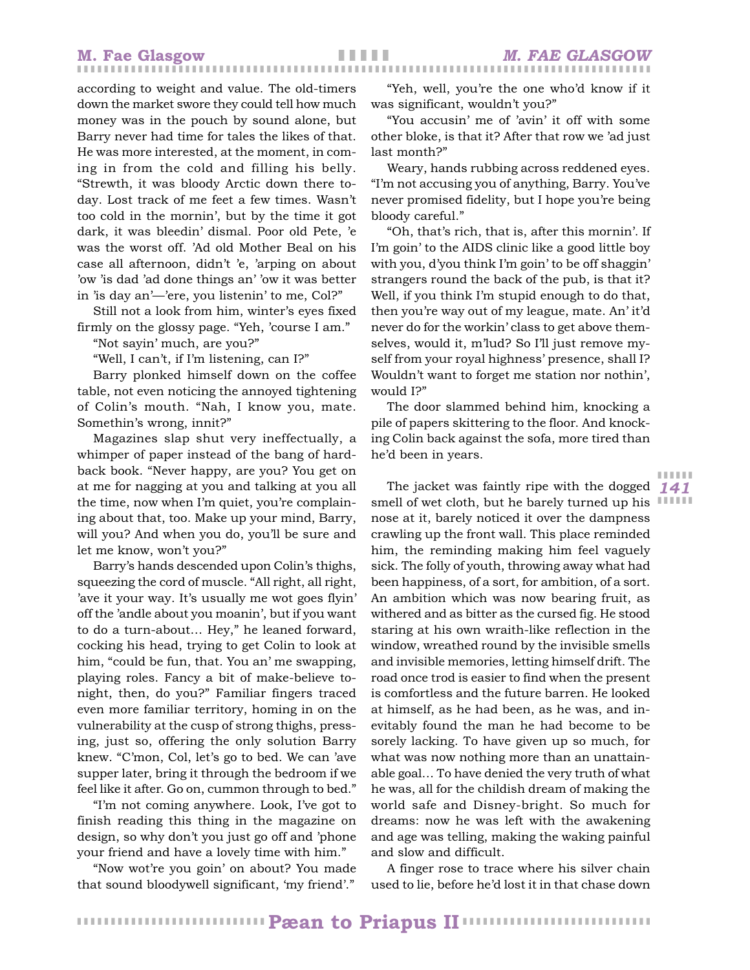according to weight and value. The old-timers down the market swore they could tell how much money was in the pouch by sound alone, but Barry never had time for tales the likes of that. He was more interested, at the moment, in coming in from the cold and filling his belly. "Strewth, it was bloody Arctic down there today. Lost track of me feet a few times. Wasn't too cold in the mornin', but by the time it got dark, it was bleedin' dismal. Poor old Pete, 'e was the worst off. 'Ad old Mother Beal on his case all afternoon, didn't 'e, 'arping on about 'ow 'is dad 'ad done things an' 'ow it was better in 'is day an'—'ere, you listenin' to me, Col?"

Still not a look from him, winter's eyes fixed firmly on the glossy page. "Yeh, 'course I am."

"Not sayin' much, are you?"

"Well, I can't, if I'm listening, can I?"

Barry plonked himself down on the coffee table, not even noticing the annoyed tightening of Colin's mouth. "Nah, I know you, mate. Somethin's wrong, innit?"

Magazines slap shut very ineffectually, a whimper of paper instead of the bang of hardback book. "Never happy, are you? You get on at me for nagging at you and talking at you all the time, now when I'm quiet, you're complaining about that, too. Make up your mind, Barry, will you? And when you do, you'll be sure and let me know, won't you?"

Barry's hands descended upon Colin's thighs, squeezing the cord of muscle. "All right, all right, 'ave it your way. It's usually me wot goes flyin' off the 'andle about you moanin', but if you want to do a turn-about… Hey," he leaned forward, cocking his head, trying to get Colin to look at him, "could be fun, that. You an' me swapping, playing roles. Fancy a bit of make-believe tonight, then, do you?" Familiar fingers traced even more familiar territory, homing in on the vulnerability at the cusp of strong thighs, pressing, just so, offering the only solution Barry knew. "C'mon, Col, let's go to bed. We can 'ave supper later, bring it through the bedroom if we feel like it after. Go on, cummon through to bed."

"I'm not coming anywhere. Look, I've got to finish reading this thing in the magazine on design, so why don't you just go off and 'phone your friend and have a lovely time with him."

"Now wot're you goin' on about? You made that sound bloodywell significant, 'my friend'."

"Yeh, well, you're the one who'd know if it was significant, wouldn't you?"

"You accusin' me of 'avin' it off with some other bloke, is that it? After that row we 'ad just last month?"

Weary, hands rubbing across reddened eyes. "I'm not accusing you of anything, Barry. You've never promised fidelity, but I hope you're being bloody careful."

"Oh, that's rich, that is, after this mornin'. If I'm goin' to the AIDS clinic like a good little boy with you, d'you think I'm goin' to be off shaggin' strangers round the back of the pub, is that it? Well, if you think I'm stupid enough to do that, then you're way out of my league, mate. An' it'd never do for the workin' class to get above themselves, would it, m'lud? So I'll just remove myself from your royal highness' presence, shall I? Wouldn't want to forget me station nor nothin', would I?"

The door slammed behind him, knocking a pile of papers skittering to the floor. And knocking Colin back against the sofa, more tired than he'd been in years.

*141* The jacket was faintly ripe with the dogged smell of wet cloth, but he barely turned up his nose at it, barely noticed it over the dampness crawling up the front wall. This place reminded him, the reminding making him feel vaguely sick. The folly of youth, throwing away what had been happiness, of a sort, for ambition, of a sort. An ambition which was now bearing fruit, as withered and as bitter as the cursed fig. He stood staring at his own wraith-like reflection in the window, wreathed round by the invisible smells and invisible memories, letting himself drift. The road once trod is easier to find when the present is comfortless and the future barren. He looked at himself, as he had been, as he was, and inevitably found the man he had become to be sorely lacking. To have given up so much, for what was now nothing more than an unattainable goal… To have denied the very truth of what he was, all for the childish dream of making the world safe and Disney-bright. So much for dreams: now he was left with the awakening and age was telling, making the waking painful and slow and difficult.

A finger rose to trace where his silver chain used to lie, before he'd lost it in that chase down

❚ ❚ ❚ ❚ ❚ ❚ ❚ ❚ ❚ ❚ ❚ ❚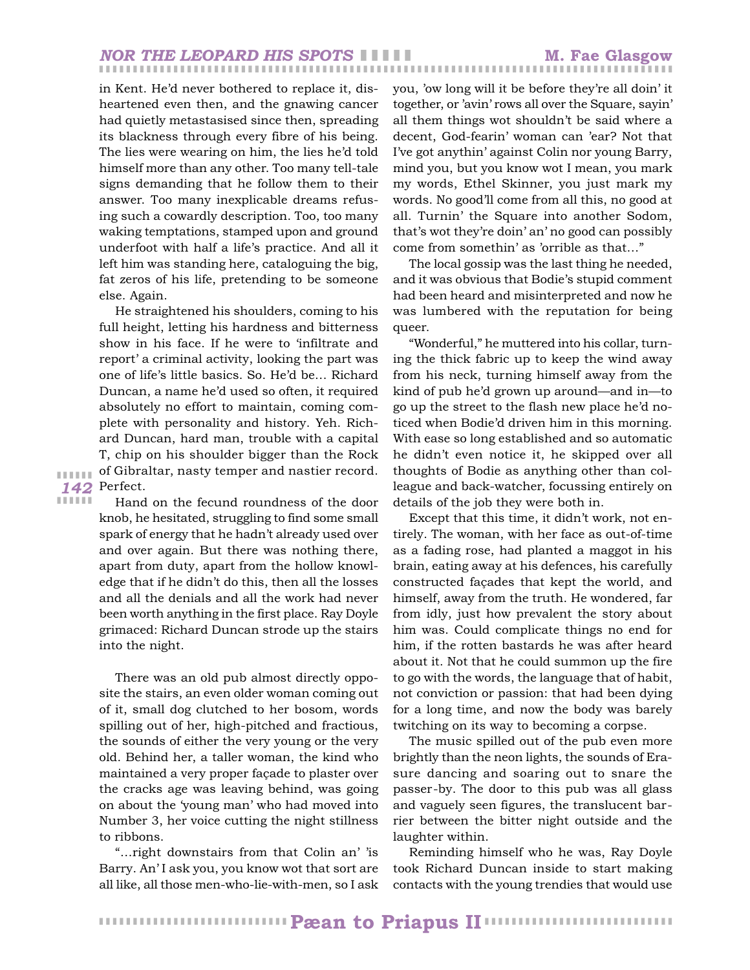## ❚ ❚ ❚ ❚ ❚ ❚ ❚ ❚ ❚ ❚ ❚ ❚ ❚ ❚ ❚ ❚ ❚ ❚ ❚ ❚ ❚ ❚ ❚ ❚ ❚ ❚ ❚ ❚ ❚ ❚ ❚ ❚ ❚ ❚ ❚ ❚ ❚ ❚ ❚ ❚ ❚ ❚ ❚ ❚ ❚ ❚ ❚ ❚ ❚ ❚ ❚ ❚ ❚ ❚ ❚ ❚ ❚ ❚ ❚ ❚ ❚ ❚ ❚ ❚ ❚ ❚ ❚ ❚ ❚ ❚ ❚ ❚ ❚ ❚ ❚ ❚ ❚ ❚ ❚ ❚ ❚ ❚ ❚ ❚ ❚ *NOR THE LEOPARD HIS SPOTS* ❚ ❚ ❚ ❚ ❚ **M. Fae Glasgow**

in Kent. He'd never bothered to replace it, disheartened even then, and the gnawing cancer had quietly metastasised since then, spreading its blackness through every fibre of his being. The lies were wearing on him, the lies he'd told himself more than any other. Too many tell-tale signs demanding that he follow them to their answer. Too many inexplicable dreams refusing such a cowardly description. Too, too many waking temptations, stamped upon and ground underfoot with half a life's practice. And all it left him was standing here, cataloguing the big, fat zeros of his life, pretending to be someone else. Again.

*142* Perfect. He straightened his shoulders, coming to his full height, letting his hardness and bitterness show in his face. If he were to 'infiltrate and report' a criminal activity, looking the part was one of life's little basics. So. He'd be… Richard Duncan, a name he'd used so often, it required absolutely no effort to maintain, coming complete with personality and history. Yeh. Richard Duncan, hard man, trouble with a capital T, chip on his shoulder bigger than the Rock of Gibraltar, nasty temper and nastier record.

❚ ❚ ❚ ❚ ❚ ❚ ❚ ❚ ❚ ❚ ❚ ❚

Hand on the fecund roundness of the door knob, he hesitated, struggling to find some small spark of energy that he hadn't already used over and over again. But there was nothing there, apart from duty, apart from the hollow knowledge that if he didn't do this, then all the losses and all the denials and all the work had never been worth anything in the first place. Ray Doyle grimaced: Richard Duncan strode up the stairs into the night.

There was an old pub almost directly opposite the stairs, an even older woman coming out of it, small dog clutched to her bosom, words spilling out of her, high-pitched and fractious, the sounds of either the very young or the very old. Behind her, a taller woman, the kind who maintained a very proper façade to plaster over the cracks age was leaving behind, was going on about the 'young man' who had moved into Number 3, her voice cutting the night stillness to ribbons.

"…right downstairs from that Colin an' 'is Barry. An' I ask you, you know wot that sort are all like, all those men-who-lie-with-men, so I ask

you, 'ow long will it be before they're all doin' it together, or 'avin' rows all over the Square, sayin' all them things wot shouldn't be said where a decent, God-fearin' woman can 'ear? Not that I've got anythin' against Colin nor young Barry, mind you, but you know wot I mean, you mark my words, Ethel Skinner, you just mark my words. No good'll come from all this, no good at all. Turnin' the Square into another Sodom, that's wot they're doin' an' no good can possibly come from somethin' as 'orrible as that…"

The local gossip was the last thing he needed, and it was obvious that Bodie's stupid comment had been heard and misinterpreted and now he was lumbered with the reputation for being queer.

"Wonderful," he muttered into his collar, turning the thick fabric up to keep the wind away from his neck, turning himself away from the kind of pub he'd grown up around—and in—to go up the street to the flash new place he'd noticed when Bodie'd driven him in this morning. With ease so long established and so automatic he didn't even notice it, he skipped over all thoughts of Bodie as anything other than colleague and back-watcher, focussing entirely on details of the job they were both in.

Except that this time, it didn't work, not entirely. The woman, with her face as out-of-time as a fading rose, had planted a maggot in his brain, eating away at his defences, his carefully constructed façades that kept the world, and himself, away from the truth. He wondered, far from idly, just how prevalent the story about him was. Could complicate things no end for him, if the rotten bastards he was after heard about it. Not that he could summon up the fire to go with the words, the language that of habit, not conviction or passion: that had been dying for a long time, and now the body was barely twitching on its way to becoming a corpse.

The music spilled out of the pub even more brightly than the neon lights, the sounds of Erasure dancing and soaring out to snare the passer-by. The door to this pub was all glass and vaguely seen figures, the translucent barrier between the bitter night outside and the laughter within.

Reminding himself who he was, Ray Doyle took Richard Duncan inside to start making contacts with the young trendies that would use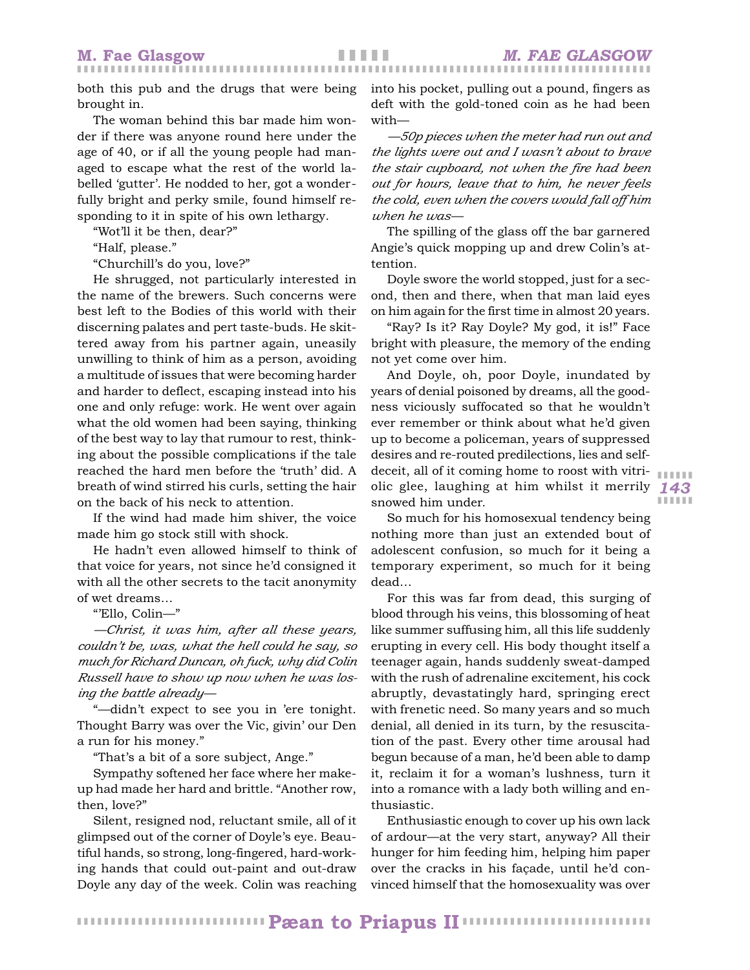both this pub and the drugs that were being brought in.

The woman behind this bar made him wonder if there was anyone round here under the age of 40, or if all the young people had managed to escape what the rest of the world labelled 'gutter'. He nodded to her, got a wonderfully bright and perky smile, found himself responding to it in spite of his own lethargy.

"Wot'll it be then, dear?"

"Half, please."

"Churchill's do you, love?"

He shrugged, not particularly interested in the name of the brewers. Such concerns were best left to the Bodies of this world with their discerning palates and pert taste-buds. He skittered away from his partner again, uneasily unwilling to think of him as a person, avoiding a multitude of issues that were becoming harder and harder to deflect, escaping instead into his one and only refuge: work. He went over again what the old women had been saying, thinking of the best way to lay that rumour to rest, thinking about the possible complications if the tale reached the hard men before the 'truth' did. A breath of wind stirred his curls, setting the hair on the back of his neck to attention.

If the wind had made him shiver, the voice made him go stock still with shock.

He hadn't even allowed himself to think of that voice for years, not since he'd consigned it with all the other secrets to the tacit anonymity of wet dreams…

"'Ello, Colin—"

*—Christ, it was him, after all these years, couldn't be, was, what the hell could he say, so much for Richard Duncan, oh fuck, why did Colin Russell have to show up now when he was losing the battle already—*

"—didn't expect to see you in 'ere tonight. Thought Barry was over the Vic, givin' our Den a run for his money."

"That's a bit of a sore subject, Ange."

Sympathy softened her face where her makeup had made her hard and brittle. "Another row, then, love?"

Silent, resigned nod, reluctant smile, all of it glimpsed out of the corner of Doyle's eye. Beautiful hands, so strong, long-fingered, hard-working hands that could out-paint and out-draw Doyle any day of the week. Colin was reaching

into his pocket, pulling out a pound, fingers as deft with the gold-toned coin as he had been with—

*—50p pieces when the meter had run out and the lights were out and I wasn't about to brave the stair cupboard, not when the fire had been out for hours, leave that to him, he never feels the cold, even when the covers would fall off him when he was—*

The spilling of the glass off the bar garnered Angie's quick mopping up and drew Colin's attention.

Doyle swore the world stopped, just for a second, then and there, when that man laid eyes on him again for the first time in almost 20 years.

"Ray? Is it? Ray Doyle? My god, it is!" Face bright with pleasure, the memory of the ending not yet come over him.

*143* olic glee, laughing at him whilst it merrily And Doyle, oh, poor Doyle, inundated by years of denial poisoned by dreams, all the goodness viciously suffocated so that he wouldn't ever remember or think about what he'd given up to become a policeman, years of suppressed desires and re-routed predilections, lies and selfdeceit, all of it coming home to roost with vitrisnowed him under.

So much for his homosexual tendency being nothing more than just an extended bout of adolescent confusion, so much for it being a temporary experiment, so much for it being dead…

For this was far from dead, this surging of blood through his veins, this blossoming of heat like summer suffusing him, all this life suddenly erupting in every cell. His body thought itself a teenager again, hands suddenly sweat-damped with the rush of adrenaline excitement, his cock abruptly, devastatingly hard, springing erect with frenetic need. So many years and so much denial, all denied in its turn, by the resuscitation of the past. Every other time arousal had begun because of a man, he'd been able to damp it, reclaim it for a woman's lushness, turn it into a romance with a lady both willing and enthusiastic.

Enthusiastic enough to cover up his own lack of ardour—at the very start, anyway? All their hunger for him feeding him, helping him paper over the cracks in his façade, until he'd convinced himself that the homosexuality was over

❚ ❚ ❚ ❚ ❚ ❚ ❚ ❚ ❚ ❚ ❚ ❚ ❚ ❚ ❚ ❚ ❚ ❚ ❚ ❚ ❚ ❚ ❚ ❚ ❚ ❚ ❚ ❚ ❚ ❚ ❚ ❚ ❚ ❚ ❚ ❚ ❚ ❚ ❚ ❚ ❚ ❚ ❚ ❚ ❚ ❚ ❚ ❚ ❚ ❚ ❚ ❚ ❚ ❚ ❚ ❚ **Pæan to Priapus II**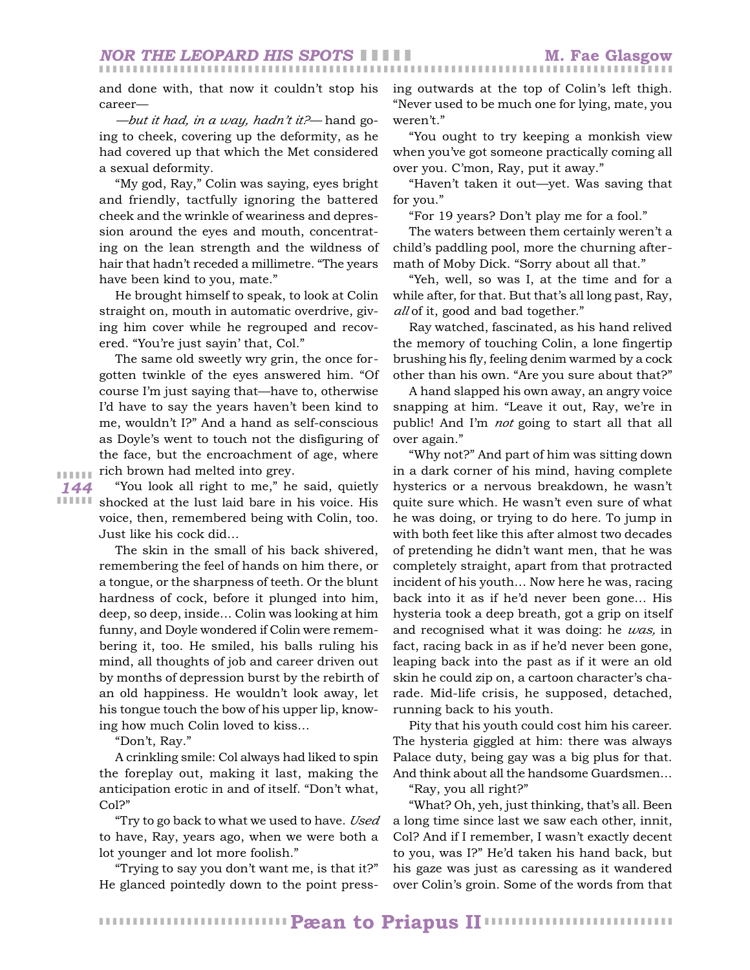and done with, that now it couldn't stop his career—

*—but it had, in a way, hadn't it?—* hand going to cheek, covering up the deformity, as he had covered up that which the Met considered a sexual deformity.

"My god, Ray," Colin was saying, eyes bright and friendly, tactfully ignoring the battered cheek and the wrinkle of weariness and depression around the eyes and mouth, concentrating on the lean strength and the wildness of hair that hadn't receded a millimetre. "The years have been kind to you, mate."

He brought himself to speak, to look at Colin straight on, mouth in automatic overdrive, giving him cover while he regrouped and recovered. "You're just sayin' that, Col."

The same old sweetly wry grin, the once forgotten twinkle of the eyes answered him. "Of course I'm just saying that—have to, otherwise I'd have to say the years haven't been kind to me, wouldn't I?" And a hand as self-conscious as Doyle's went to touch not the disfiguring of the face, but the encroachment of age, where rich brown had melted into grey.

*144* ❚ ❚ ❚ ❚ ❚ ❚

**IIIIII** shocked at the lust laid bare in his voice. His "You look all right to me," he said, quietly voice, then, remembered being with Colin, too. Just like his cock did…

> The skin in the small of his back shivered, remembering the feel of hands on him there, or a tongue, or the sharpness of teeth. Or the blunt hardness of cock, before it plunged into him, deep, so deep, inside… Colin was looking at him funny, and Doyle wondered if Colin were remembering it, too. He smiled, his balls ruling his mind, all thoughts of job and career driven out by months of depression burst by the rebirth of an old happiness. He wouldn't look away, let his tongue touch the bow of his upper lip, knowing how much Colin loved to kiss…

"Don't, Ray."

A crinkling smile: Col always had liked to spin the foreplay out, making it last, making the anticipation erotic in and of itself. "Don't what, Col?"

"Try to go back to what we used to have. *Used* to have, Ray, years ago, when we were both a lot younger and lot more foolish."

"Trying to say you don't want me, is that it?" He glanced pointedly down to the point pressing outwards at the top of Colin's left thigh. "Never used to be much one for lying, mate, you weren't."

"You ought to try keeping a monkish view when you've got someone practically coming all over you. C'mon, Ray, put it away."

"Haven't taken it out—yet. Was saving that for you."

"For 19 years? Don't play me for a fool."

The waters between them certainly weren't a child's paddling pool, more the churning aftermath of Moby Dick. "Sorry about all that."

"Yeh, well, so was I, at the time and for a while after, for that. But that's all long past, Ray, *all* of it, good and bad together."

Ray watched, fascinated, as his hand relived the memory of touching Colin, a lone fingertip brushing his fly, feeling denim warmed by a cock other than his own. "Are you sure about that?"

A hand slapped his own away, an angry voice snapping at him. "Leave it out, Ray, we're in public! And I'm *not* going to start all that all over again."

"Why not?" And part of him was sitting down in a dark corner of his mind, having complete hysterics or a nervous breakdown, he wasn't quite sure which. He wasn't even sure of what he was doing, or trying to do here. To jump in with both feet like this after almost two decades of pretending he didn't want men, that he was completely straight, apart from that protracted incident of his youth… Now here he was, racing back into it as if he'd never been gone… His hysteria took a deep breath, got a grip on itself and recognised what it was doing: he *was,* in fact, racing back in as if he'd never been gone, leaping back into the past as if it were an old skin he could zip on, a cartoon character's charade. Mid-life crisis, he supposed, detached, running back to his youth.

Pity that his youth could cost him his career. The hysteria giggled at him: there was always Palace duty, being gay was a big plus for that. And think about all the handsome Guardsmen…

"Ray, you all right?"

"What? Oh, yeh, just thinking, that's all. Been a long time since last we saw each other, innit, Col? And if I remember, I wasn't exactly decent to you, was I?" He'd taken his hand back, but his gaze was just as caressing as it wandered over Colin's groin. Some of the words from that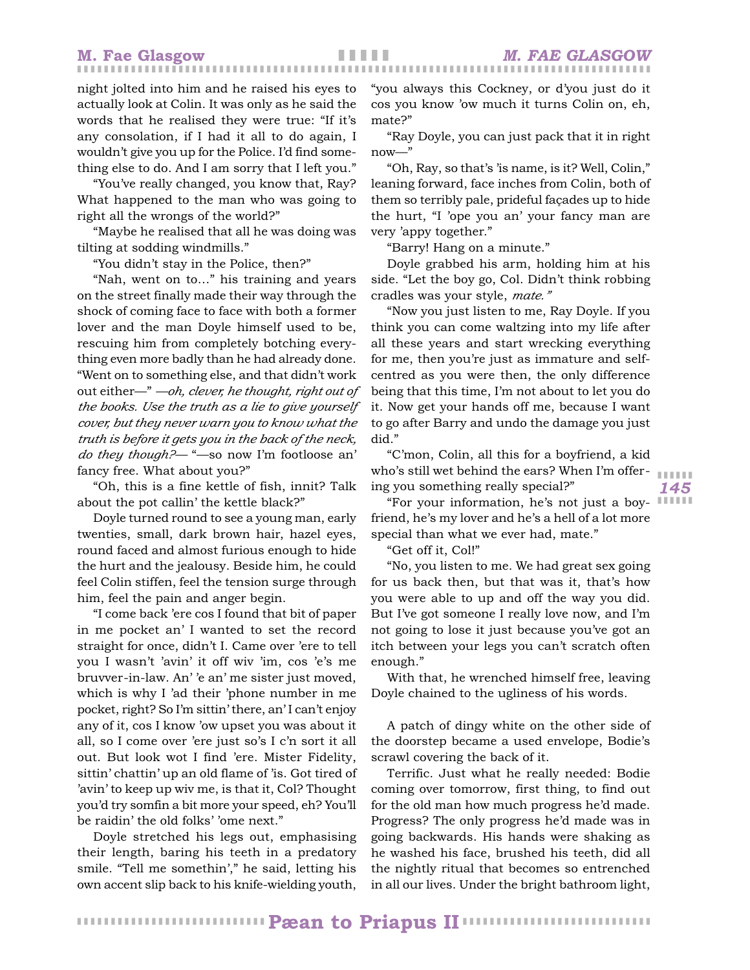night jolted into him and he raised his eyes to actually look at Colin. It was only as he said the words that he realised they were true: "If it's any consolation, if I had it all to do again, I wouldn't give you up for the Police. I'd find something else to do. And I am sorry that I left you."

"You've really changed, you know that, Ray? What happened to the man who was going to right all the wrongs of the world?"

"Maybe he realised that all he was doing was tilting at sodding windmills."

"You didn't stay in the Police, then?"

"Nah, went on to…" his training and years on the street finally made their way through the shock of coming face to face with both a former lover and the man Doyle himself used to be, rescuing him from completely botching everything even more badly than he had already done. "Went on to something else, and that didn't work out either—" *—oh, clever, he thought, right out of the books. Use the truth as a lie to give yourself cover, but they never warn you to know what the truth is before it gets you in the back of the neck, do they though?—* "—so now I'm footloose an' fancy free. What about you?"

"Oh, this is a fine kettle of fish, innit? Talk about the pot callin' the kettle black?"

Doyle turned round to see a young man, early twenties, small, dark brown hair, hazel eyes, round faced and almost furious enough to hide the hurt and the jealousy. Beside him, he could feel Colin stiffen, feel the tension surge through him, feel the pain and anger begin.

"I come back 'ere cos I found that bit of paper in me pocket an' I wanted to set the record straight for once, didn't I. Came over 'ere to tell you I wasn't 'avin' it off wiv 'im, cos 'e's me bruvver-in-law. An' 'e an' me sister just moved, which is why I 'ad their 'phone number in me pocket, right? So I'm sittin' there, an' I can't enjoy any of it, cos I know 'ow upset you was about it all, so I come over 'ere just so's I c'n sort it all out. But look wot I find 'ere. Mister Fidelity, sittin' chattin' up an old flame of 'is. Got tired of 'avin' to keep up wiv me, is that it, Col? Thought you'd try somfin a bit more your speed, eh? You'll be raidin' the old folks' 'ome next."

Doyle stretched his legs out, emphasising their length, baring his teeth in a predatory smile. "Tell me somethin'," he said, letting his own accent slip back to his knife-wielding youth,

"you always this Cockney, or d'you just do it cos you know 'ow much it turns Colin on, eh, mate?"

"Ray Doyle, you can just pack that it in right now—"

"Oh, Ray, so that's 'is name, is it? Well, Colin," leaning forward, face inches from Colin, both of them so terribly pale, prideful façades up to hide the hurt, "I 'ope you an' your fancy man are very 'appy together."

"Barry! Hang on a minute."

Doyle grabbed his arm, holding him at his side. "Let the boy go, Col. Didn't think robbing cradles was your style, *mate."*

"Now you just listen to me, Ray Doyle. If you think you can come waltzing into my life after all these years and start wrecking everything for me, then you're just as immature and selfcentred as you were then, the only difference being that this time, I'm not about to let you do it. Now get your hands off me, because I want to go after Barry and undo the damage you just did."

"C'mon, Colin, all this for a boyfriend, a kid who's still wet behind the ears? When I'm offering you something really special?"

"For your information, he's not just a boyfriend, he's my lover and he's a hell of a lot more special than what we ever had, mate."

"Get off it, Col!"

"No, you listen to me. We had great sex going for us back then, but that was it, that's how you were able to up and off the way you did. But I've got someone I really love now, and I'm not going to lose it just because you've got an itch between your legs you can't scratch often enough."

With that, he wrenched himself free, leaving Doyle chained to the ugliness of his words.

A patch of dingy white on the other side of the doorstep became a used envelope, Bodie's scrawl covering the back of it.

Terrific. Just what he really needed: Bodie coming over tomorrow, first thing, to find out for the old man how much progress he'd made. Progress? The only progress he'd made was in going backwards. His hands were shaking as he washed his face, brushed his teeth, did all the nightly ritual that becomes so entrenched in all our lives. Under the bright bathroom light,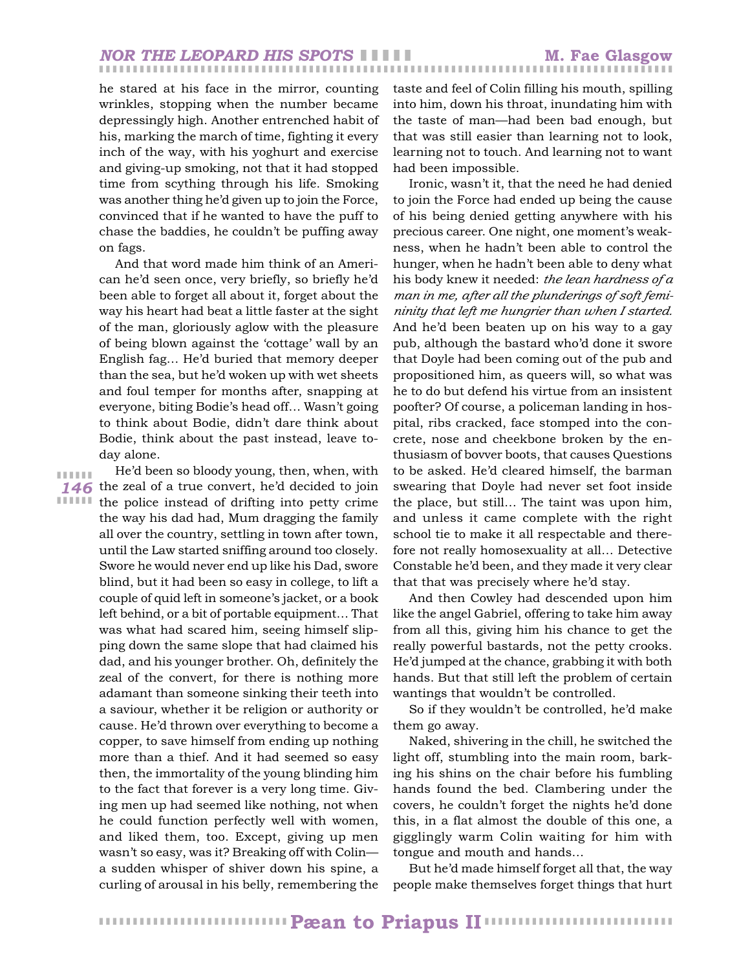he stared at his face in the mirror, counting wrinkles, stopping when the number became depressingly high. Another entrenched habit of his, marking the march of time, fighting it every inch of the way, with his yoghurt and exercise and giving-up smoking, not that it had stopped time from scything through his life. Smoking was another thing he'd given up to join the Force, convinced that if he wanted to have the puff to chase the baddies, he couldn't be puffing away on fags.

And that word made him think of an American he'd seen once, very briefly, so briefly he'd been able to forget all about it, forget about the way his heart had beat a little faster at the sight of the man, gloriously aglow with the pleasure of being blown against the 'cottage' wall by an English fag… He'd buried that memory deeper than the sea, but he'd woken up with wet sheets and foul temper for months after, snapping at everyone, biting Bodie's head off… Wasn't going to think about Bodie, didn't dare think about Bodie, think about the past instead, leave today alone.

❚ ❚ ❚ ❚ ❚ ❚

*146* the zeal of a true convert, he'd decided to join **ITTILE** the police instead of drifting into petty crime He'd been so bloody young, then, when, with the way his dad had, Mum dragging the family all over the country, settling in town after town, until the Law started sniffing around too closely. Swore he would never end up like his Dad, swore blind, but it had been so easy in college, to lift a couple of quid left in someone's jacket, or a book left behind, or a bit of portable equipment… That was what had scared him, seeing himself slipping down the same slope that had claimed his dad, and his younger brother. Oh, definitely the zeal of the convert, for there is nothing more adamant than someone sinking their teeth into a saviour, whether it be religion or authority or cause. He'd thrown over everything to become a copper, to save himself from ending up nothing more than a thief. And it had seemed so easy then, the immortality of the young blinding him to the fact that forever is a very long time. Giving men up had seemed like nothing, not when he could function perfectly well with women, and liked them, too. Except, giving up men wasn't so easy, was it? Breaking off with Colin a sudden whisper of shiver down his spine, a curling of arousal in his belly, remembering the taste and feel of Colin filling his mouth, spilling into him, down his throat, inundating him with the taste of man—had been bad enough, but that was still easier than learning not to look, learning not to touch. And learning not to want had been impossible.

Ironic, wasn't it, that the need he had denied to join the Force had ended up being the cause of his being denied getting anywhere with his precious career. One night, one moment's weakness, when he hadn't been able to control the hunger, when he hadn't been able to deny what his body knew it needed: *the lean hardness of a man in me, after all the plunderings of soft femininity that left me hungrier than when I started.* And he'd been beaten up on his way to a gay pub, although the bastard who'd done it swore that Doyle had been coming out of the pub and propositioned him, as queers will, so what was he to do but defend his virtue from an insistent poofter? Of course, a policeman landing in hospital, ribs cracked, face stomped into the concrete, nose and cheekbone broken by the enthusiasm of bovver boots, that causes Questions to be asked. He'd cleared himself, the barman swearing that Doyle had never set foot inside the place, but still… The taint was upon him, and unless it came complete with the right school tie to make it all respectable and therefore not really homosexuality at all… Detective Constable he'd been, and they made it very clear that that was precisely where he'd stay.

And then Cowley had descended upon him like the angel Gabriel, offering to take him away from all this, giving him his chance to get the really powerful bastards, not the petty crooks. He'd jumped at the chance, grabbing it with both hands. But that still left the problem of certain wantings that wouldn't be controlled.

So if they wouldn't be controlled, he'd make them go away.

Naked, shivering in the chill, he switched the light off, stumbling into the main room, barking his shins on the chair before his fumbling hands found the bed. Clambering under the covers, he couldn't forget the nights he'd done this, in a flat almost the double of this one, a gigglingly warm Colin waiting for him with tongue and mouth and hands…

But he'd made himself forget all that, the way people make themselves forget things that hurt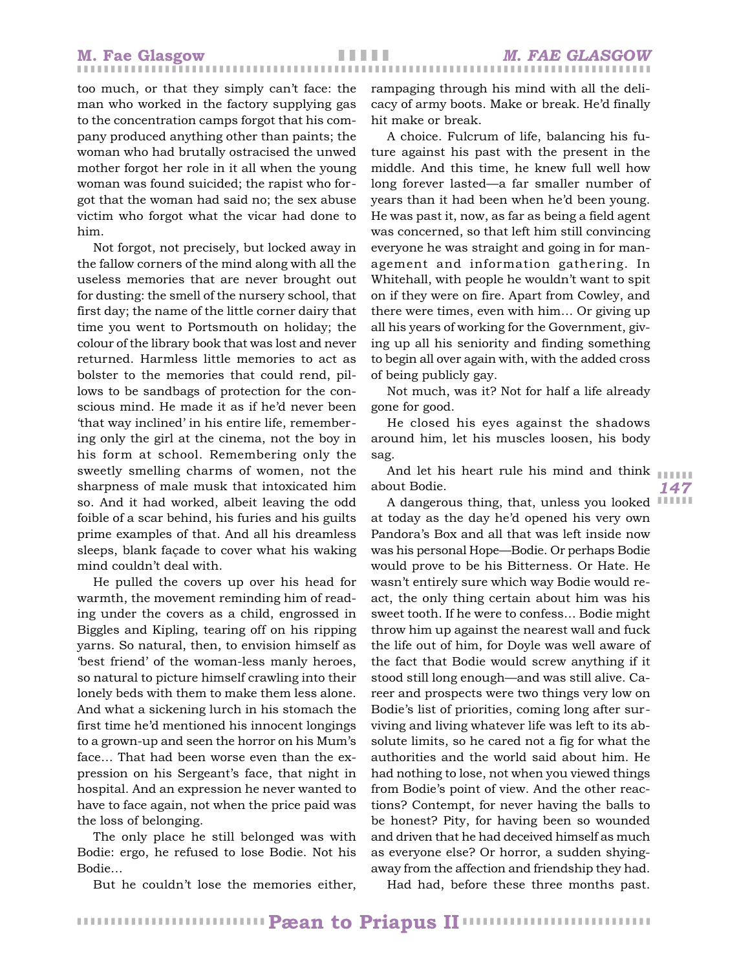too much, or that they simply can't face: the man who worked in the factory supplying gas to the concentration camps forgot that his company produced anything other than paints; the woman who had brutally ostracised the unwed mother forgot her role in it all when the young woman was found suicided; the rapist who forgot that the woman had said no; the sex abuse victim who forgot what the vicar had done to him.

Not forgot, not precisely, but locked away in the fallow corners of the mind along with all the useless memories that are never brought out for dusting: the smell of the nursery school, that first day; the name of the little corner dairy that time you went to Portsmouth on holiday; the colour of the library book that was lost and never returned. Harmless little memories to act as bolster to the memories that could rend, pillows to be sandbags of protection for the conscious mind. He made it as if he'd never been 'that way inclined' in his entire life, remembering only the girl at the cinema, not the boy in his form at school. Remembering only the sweetly smelling charms of women, not the sharpness of male musk that intoxicated him so. And it had worked, albeit leaving the odd foible of a scar behind, his furies and his guilts prime examples of that. And all his dreamless sleeps, blank façade to cover what his waking mind couldn't deal with.

He pulled the covers up over his head for warmth, the movement reminding him of reading under the covers as a child, engrossed in Biggles and Kipling, tearing off on his ripping yarns. So natural, then, to envision himself as 'best friend' of the woman-less manly heroes, so natural to picture himself crawling into their lonely beds with them to make them less alone. And what a sickening lurch in his stomach the first time he'd mentioned his innocent longings to a grown-up and seen the horror on his Mum's face… That had been worse even than the expression on his Sergeant's face, that night in hospital. And an expression he never wanted to have to face again, not when the price paid was the loss of belonging.

The only place he still belonged was with Bodie: ergo, he refused to lose Bodie. Not his Bodie…

But he couldn't lose the memories either,

rampaging through his mind with all the delicacy of army boots. Make or break. He'd finally hit make or break.

A choice. Fulcrum of life, balancing his future against his past with the present in the middle. And this time, he knew full well how long forever lasted—a far smaller number of years than it had been when he'd been young. He was past it, now, as far as being a field agent was concerned, so that left him still convincing everyone he was straight and going in for management and information gathering. In Whitehall, with people he wouldn't want to spit on if they were on fire. Apart from Cowley, and there were times, even with him… Or giving up all his years of working for the Government, giving up all his seniority and finding something to begin all over again with, with the added cross of being publicly gay.

Not much, was it? Not for half a life already gone for good.

He closed his eyes against the shadows around him, let his muscles loosen, his body sag.

And let his heart rule his mind and think  $\begin{array}{|c|c|c|}\hline \end{array}$ about Bodie.

*147*

A dangerous thing, that, unless you looked IIIIII at today as the day he'd opened his very own Pandora's Box and all that was left inside now was his personal Hope—Bodie. Or perhaps Bodie would prove to be his Bitterness. Or Hate. He wasn't entirely sure which way Bodie would react, the only thing certain about him was his sweet tooth. If he were to confess… Bodie might throw him up against the nearest wall and fuck the life out of him, for Doyle was well aware of the fact that Bodie would screw anything if it stood still long enough—and was still alive. Career and prospects were two things very low on Bodie's list of priorities, coming long after surviving and living whatever life was left to its absolute limits, so he cared not a fig for what the authorities and the world said about him. He had nothing to lose, not when you viewed things from Bodie's point of view. And the other reactions? Contempt, for never having the balls to be honest? Pity, for having been so wounded and driven that he had deceived himself as much as everyone else? Or horror, a sudden shyingaway from the affection and friendship they had.

Had had, before these three months past.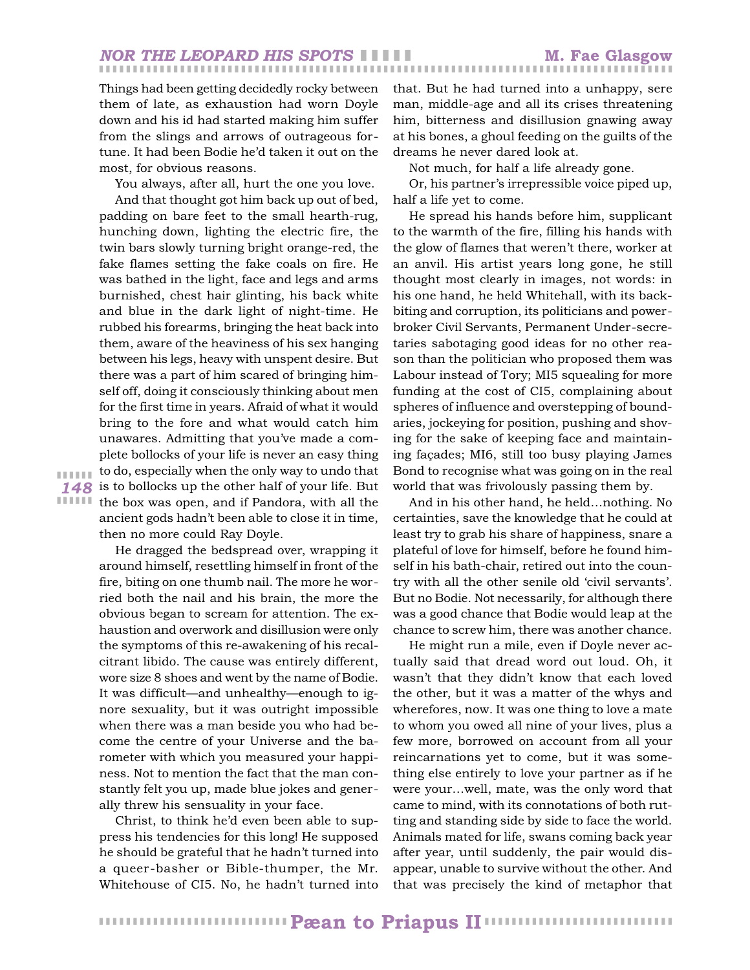Things had been getting decidedly rocky between them of late, as exhaustion had worn Doyle down and his id had started making him suffer from the slings and arrows of outrageous fortune. It had been Bodie he'd taken it out on the most, for obvious reasons.

You always, after all, hurt the one you love.

*148* is to bollocks up the other half of your life. But **IIIIII** the box was open, and if Pandora, with all the And that thought got him back up out of bed, padding on bare feet to the small hearth-rug, hunching down, lighting the electric fire, the twin bars slowly turning bright orange-red, the fake flames setting the fake coals on fire. He was bathed in the light, face and legs and arms burnished, chest hair glinting, his back white and blue in the dark light of night-time. He rubbed his forearms, bringing the heat back into them, aware of the heaviness of his sex hanging between his legs, heavy with unspent desire. But there was a part of him scared of bringing himself off, doing it consciously thinking about men for the first time in years. Afraid of what it would bring to the fore and what would catch him unawares. Admitting that you've made a complete bollocks of your life is never an easy thing to do, especially when the only way to undo that ancient gods hadn't been able to close it in time, then no more could Ray Doyle.

❚ ❚ ❚ ❚ ❚ ❚

He dragged the bedspread over, wrapping it around himself, resettling himself in front of the fire, biting on one thumb nail. The more he worried both the nail and his brain, the more the obvious began to scream for attention. The exhaustion and overwork and disillusion were only the symptoms of this re-awakening of his recalcitrant libido. The cause was entirely different, wore size 8 shoes and went by the name of Bodie. It was difficult—and unhealthy—enough to ignore sexuality, but it was outright impossible when there was a man beside you who had become the centre of your Universe and the barometer with which you measured your happiness. Not to mention the fact that the man constantly felt you up, made blue jokes and generally threw his sensuality in your face.

Christ, to think he'd even been able to suppress his tendencies for this long! He supposed he should be grateful that he hadn't turned into a queer-basher or Bible-thumper, the Mr. Whitehouse of CI5. No, he hadn't turned into that. But he had turned into a unhappy, sere man, middle-age and all its crises threatening him, bitterness and disillusion gnawing away at his bones, a ghoul feeding on the guilts of the dreams he never dared look at.

Not much, for half a life already gone.

Or, his partner's irrepressible voice piped up, half a life yet to come.

He spread his hands before him, supplicant to the warmth of the fire, filling his hands with the glow of flames that weren't there, worker at an anvil. His artist years long gone, he still thought most clearly in images, not words: in his one hand, he held Whitehall, with its backbiting and corruption, its politicians and powerbroker Civil Servants, Permanent Under-secretaries sabotaging good ideas for no other reason than the politician who proposed them was Labour instead of Tory; MI5 squealing for more funding at the cost of CI5, complaining about spheres of influence and overstepping of boundaries, jockeying for position, pushing and shoving for the sake of keeping face and maintaining façades; MI6, still too busy playing James Bond to recognise what was going on in the real world that was frivolously passing them by.

And in his other hand, he held…nothing. No certainties, save the knowledge that he could at least try to grab his share of happiness, snare a plateful of love for himself, before he found himself in his bath-chair, retired out into the country with all the other senile old 'civil servants'. But no Bodie. Not necessarily, for although there was a good chance that Bodie would leap at the chance to screw him, there was another chance.

He might run a mile, even if Doyle never actually said that dread word out loud. Oh, it wasn't that they didn't know that each loved the other, but it was a matter of the whys and wherefores, now. It was one thing to love a mate to whom you owed all nine of your lives, plus a few more, borrowed on account from all your reincarnations yet to come, but it was something else entirely to love your partner as if he were your…well, mate, was the only word that came to mind, with its connotations of both rutting and standing side by side to face the world. Animals mated for life, swans coming back year after year, until suddenly, the pair would disappear, unable to survive without the other. And that was precisely the kind of metaphor that

❚ ❚ ❚ ❚ ❚ ❚ ❚ ❚ ❚ ❚ ❚ ❚ ❚ ❚ ❚ ❚ ❚ ❚ ❚ ❚ ❚ ❚ ❚ ❚ ❚ ❚ ❚ ❚ ❚ ❚ ❚ ❚ ❚ ❚ ❚ ❚ ❚ ❚ ❚ ❚ ❚ ❚ ❚ ❚ ❚ ❚ ❚ ❚ ❚ ❚ ❚ ❚ ❚ ❚ ❚ ❚ **Pæan to Priapus II**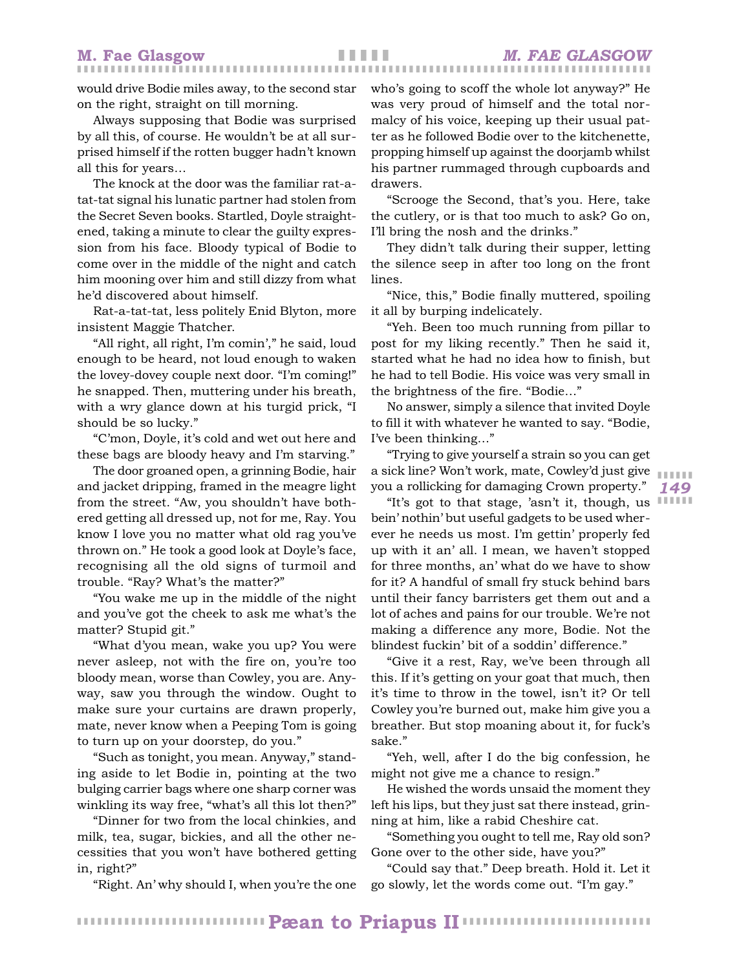would drive Bodie miles away, to the second star on the right, straight on till morning.

Always supposing that Bodie was surprised by all this, of course. He wouldn't be at all surprised himself if the rotten bugger hadn't known all this for years…

The knock at the door was the familiar rat-atat-tat signal his lunatic partner had stolen from the Secret Seven books. Startled, Doyle straightened, taking a minute to clear the guilty expression from his face. Bloody typical of Bodie to come over in the middle of the night and catch him mooning over him and still dizzy from what he'd discovered about himself.

Rat-a-tat-tat, less politely Enid Blyton, more insistent Maggie Thatcher.

"All right, all right, I'm comin'," he said, loud enough to be heard, not loud enough to waken the lovey-dovey couple next door. "I'm coming!" he snapped. Then, muttering under his breath, with a wry glance down at his turgid prick, "I should be so lucky."

"C'mon, Doyle, it's cold and wet out here and these bags are bloody heavy and I'm starving."

The door groaned open, a grinning Bodie, hair and jacket dripping, framed in the meagre light from the street. "Aw, you shouldn't have bothered getting all dressed up, not for me, Ray. You know I love you no matter what old rag you've thrown on." He took a good look at Doyle's face, recognising all the old signs of turmoil and trouble. "Ray? What's the matter?"

"You wake me up in the middle of the night and you've got the cheek to ask me what's the matter? Stupid git."

"What d'you mean, wake you up? You were never asleep, not with the fire on, you're too bloody mean, worse than Cowley, you are. Anyway, saw you through the window. Ought to make sure your curtains are drawn properly, mate, never know when a Peeping Tom is going to turn up on your doorstep, do you."

"Such as tonight, you mean. Anyway," standing aside to let Bodie in, pointing at the two bulging carrier bags where one sharp corner was winkling its way free, "what's all this lot then?"

"Dinner for two from the local chinkies, and milk, tea, sugar, bickies, and all the other necessities that you won't have bothered getting in, right?"

"Right. An' why should I, when you're the one

who's going to scoff the whole lot anyway?" He was very proud of himself and the total normalcy of his voice, keeping up their usual patter as he followed Bodie over to the kitchenette, propping himself up against the doorjamb whilst his partner rummaged through cupboards and drawers.

"Scrooge the Second, that's you. Here, take the cutlery, or is that too much to ask? Go on, I'll bring the nosh and the drinks."

They didn't talk during their supper, letting the silence seep in after too long on the front lines.

"Nice, this," Bodie finally muttered, spoiling it all by burping indelicately.

"Yeh. Been too much running from pillar to post for my liking recently." Then he said it, started what he had no idea how to finish, but he had to tell Bodie. His voice was very small in the brightness of the fire. "Bodie…"

No answer, simply a silence that invited Doyle to fill it with whatever he wanted to say. "Bodie, I've been thinking…"

"Trying to give yourself a strain so you can get a sick line? Won't work, mate, Cowley'd just give you a rollicking for damaging Crown property."

*149* ❚ ❚ ❚ ❚ ❚ ❚

"It's got to that stage, 'asn't it, though, us IIIIII bein' nothin' but useful gadgets to be used wherever he needs us most. I'm gettin' properly fed up with it an' all. I mean, we haven't stopped for three months, an' what do we have to show for it? A handful of small fry stuck behind bars until their fancy barristers get them out and a lot of aches and pains for our trouble. We're not making a difference any more, Bodie. Not the blindest fuckin' bit of a soddin' difference."

"Give it a rest, Ray, we've been through all this. If it's getting on your goat that much, then it's time to throw in the towel, isn't it? Or tell Cowley you're burned out, make him give you a breather. But stop moaning about it, for fuck's sake."

"Yeh, well, after I do the big confession, he might not give me a chance to resign."

He wished the words unsaid the moment they left his lips, but they just sat there instead, grinning at him, like a rabid Cheshire cat.

"Something you ought to tell me, Ray old son? Gone over to the other side, have you?"

"Could say that." Deep breath. Hold it. Let it go slowly, let the words come out. "I'm gay."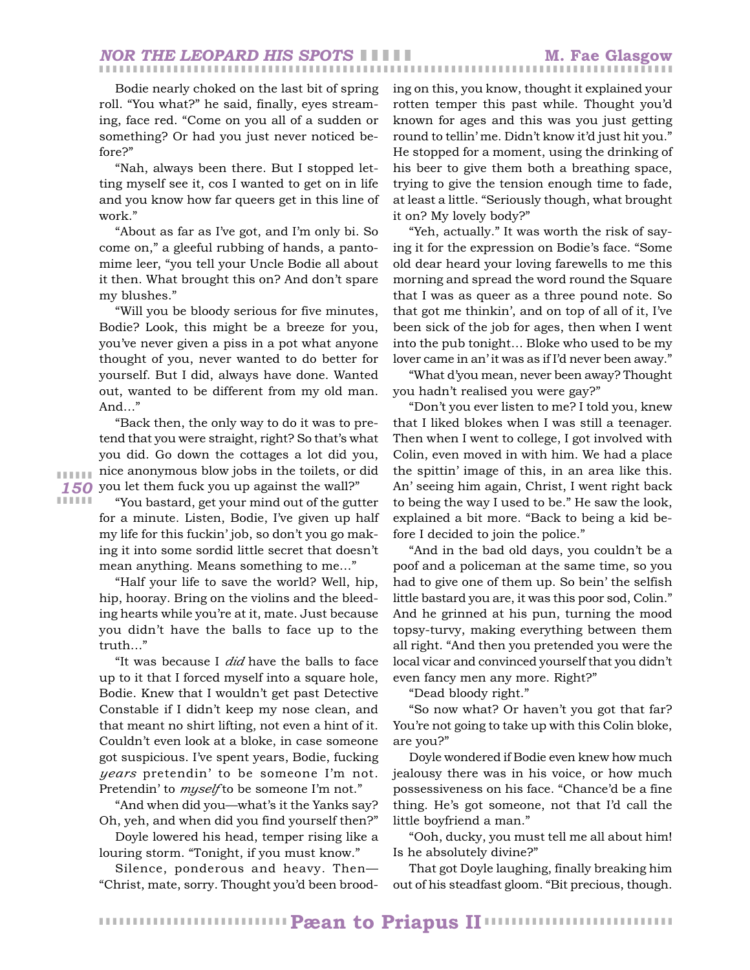Bodie nearly choked on the last bit of spring roll. "You what?" he said, finally, eyes streaming, face red. "Come on you all of a sudden or something? Or had you just never noticed before?"

"Nah, always been there. But I stopped letting myself see it, cos I wanted to get on in life and you know how far queers get in this line of work."

"About as far as I've got, and I'm only bi. So come on," a gleeful rubbing of hands, a pantomime leer, "you tell your Uncle Bodie all about it then. What brought this on? And don't spare my blushes."

"Will you be bloody serious for five minutes, Bodie? Look, this might be a breeze for you, you've never given a piss in a pot what anyone thought of you, never wanted to do better for yourself. But I did, always have done. Wanted out, wanted to be different from my old man. And…"

*150* you let them fuck you up against the wall?" "Back then, the only way to do it was to pretend that you were straight, right? So that's what you did. Go down the cottages a lot did you, nice anonymous blow jobs in the toilets, or did

❚ ❚ ❚ ❚ ❚ ❚ ❚ ❚ ❚ ❚ ❚ ❚

"You bastard, get your mind out of the gutter for a minute. Listen, Bodie, I've given up half my life for this fuckin' job, so don't you go making it into some sordid little secret that doesn't mean anything. Means something to me…"

"Half your life to save the world? Well, hip, hip, hooray. Bring on the violins and the bleeding hearts while you're at it, mate. Just because you didn't have the balls to face up to the truth…"

"It was because I *did* have the balls to face up to it that I forced myself into a square hole, Bodie. Knew that I wouldn't get past Detective Constable if I didn't keep my nose clean, and that meant no shirt lifting, not even a hint of it. Couldn't even look at a bloke, in case someone got suspicious. I've spent years, Bodie, fucking *years* pretendin' to be someone I'm not. Pretendin' to *myself* to be someone I'm not."

"And when did you—what's it the Yanks say? Oh, yeh, and when did you find yourself then?"

Doyle lowered his head, temper rising like a louring storm. "Tonight, if you must know."

Silence, ponderous and heavy. Then— "Christ, mate, sorry. Thought you'd been brooding on this, you know, thought it explained your rotten temper this past while. Thought you'd known for ages and this was you just getting round to tellin' me. Didn't know it'd just hit you." He stopped for a moment, using the drinking of his beer to give them both a breathing space, trying to give the tension enough time to fade, at least a little. "Seriously though, what brought it on? My lovely body?"

"Yeh, actually." It was worth the risk of saying it for the expression on Bodie's face. "Some old dear heard your loving farewells to me this morning and spread the word round the Square that I was as queer as a three pound note. So that got me thinkin', and on top of all of it, I've been sick of the job for ages, then when I went into the pub tonight… Bloke who used to be my lover came in an' it was as if I'd never been away."

"What d'you mean, never been away? Thought you hadn't realised you were gay?"

"Don't you ever listen to me? I told you, knew that I liked blokes when I was still a teenager. Then when I went to college, I got involved with Colin, even moved in with him. We had a place the spittin' image of this, in an area like this. An' seeing him again, Christ, I went right back to being the way I used to be." He saw the look, explained a bit more. "Back to being a kid before I decided to join the police."

"And in the bad old days, you couldn't be a poof and a policeman at the same time, so you had to give one of them up. So bein' the selfish little bastard you are, it was this poor sod, Colin." And he grinned at his pun, turning the mood topsy-turvy, making everything between them all right. "And then you pretended you were the local vicar and convinced yourself that you didn't even fancy men any more. Right?"

"Dead bloody right."

"So now what? Or haven't you got that far? You're not going to take up with this Colin bloke, are you?"

Doyle wondered if Bodie even knew how much jealousy there was in his voice, or how much possessiveness on his face. "Chance'd be a fine thing. He's got someone, not that I'd call the little boyfriend a man."

"Ooh, ducky, you must tell me all about him! Is he absolutely divine?"

That got Doyle laughing, finally breaking him out of his steadfast gloom. "Bit precious, though.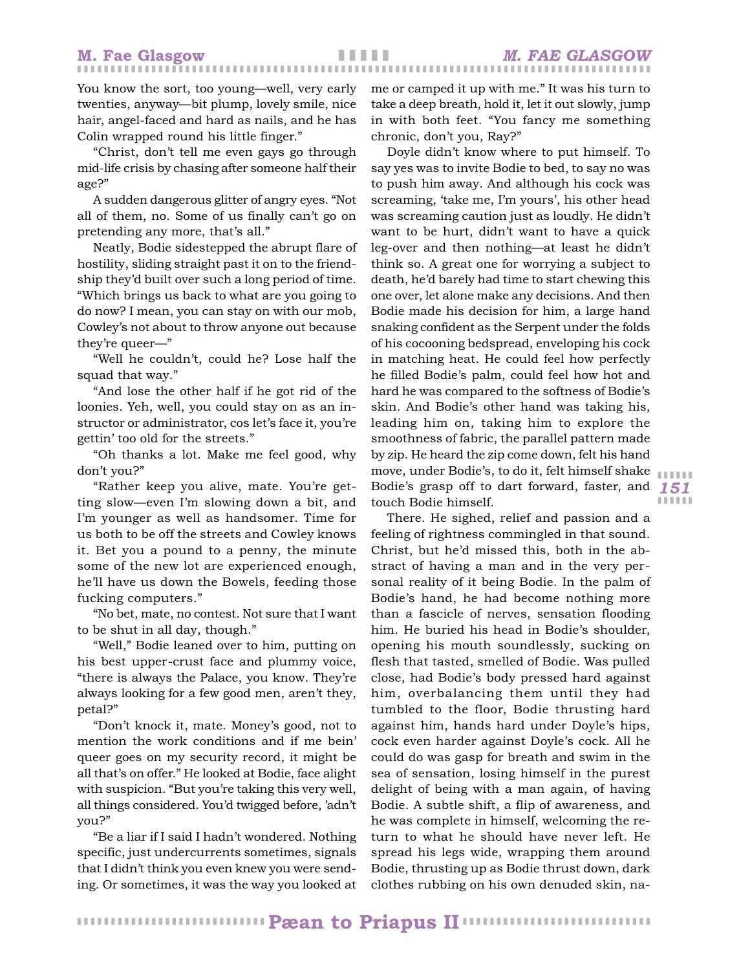❚ ❚ ❚ ❚ ❚

❚ ❚ ❚ ❚ ❚ ❚

❚ ❚ ❚ ❚ ❚ ❚

You know the sort, too young—well, very early twenties, anyway—bit plump, lovely smile, nice hair, angel-faced and hard as nails, and he has Colin wrapped round his little finger."

"Christ, don't tell me even gays go through mid-life crisis by chasing after someone half their age?"

A sudden dangerous glitter of angry eyes. "Not all of them, no. Some of us finally can't go on pretending any more, that's all."

Neatly, Bodie sidestepped the abrupt flare of hostility, sliding straight past it on to the friendship they'd built over such a long period of time. "Which brings us back to what are you going to do now? I mean, you can stay on with our mob, Cowley's not about to throw anyone out because they're queer—"

"Well he couldn't, could he? Lose half the squad that way."

"And lose the other half if he got rid of the loonies. Yeh, well, you could stay on as an instructor or administrator, cos let's face it, you're gettin' too old for the streets."

"Oh thanks a lot. Make me feel good, why don't you?"

"Rather keep you alive, mate. You're getting slow—even I'm slowing down a bit, and I'm younger as well as handsomer. Time for us both to be off the streets and Cowley knows it. Bet you a pound to a penny, the minute some of the new lot are experienced enough, he'll have us down the Bowels, feeding those fucking computers."

"No bet, mate, no contest. Not sure that I want to be shut in all day, though."

"Well," Bodie leaned over to him, putting on his best upper-crust face and plummy voice, "there is always the Palace, you know. They're always looking for a few good men, aren't they, petal?"

"Don't knock it, mate. Money's good, not to mention the work conditions and if me bein' queer goes on my security record, it might be all that's on offer." He looked at Bodie, face alight with suspicion. "But you're taking this very well, all things considered. You'd twigged before, 'adn't you?"

"Be a liar if I said I hadn't wondered. Nothing specific, just undercurrents sometimes, signals that I didn't think you even knew you were sending. Or sometimes, it was the way you looked at

me or camped it up with me." It was his turn to take a deep breath, hold it, let it out slowly, jump in with both feet. "You fancy me something chronic, don't you, Ray?"

*151* Bodie's grasp off to dart forward, faster, and Doyle didn't know where to put himself. To say yes was to invite Bodie to bed, to say no was to push him away. And although his cock was screaming, 'take me, I'm yours', his other head was screaming caution just as loudly. He didn't want to be hurt, didn't want to have a quick leg-over and then nothing—at least he didn't think so. A great one for worrying a subject to death, he'd barely had time to start chewing this one over, let alone make any decisions. And then Bodie made his decision for him, a large hand snaking confident as the Serpent under the folds of his cocooning bedspread, enveloping his cock in matching heat. He could feel how perfectly he filled Bodie's palm, could feel how hot and hard he was compared to the softness of Bodie's skin. And Bodie's other hand was taking his, leading him on, taking him to explore the smoothness of fabric, the parallel pattern made by zip. He heard the zip come down, felt his hand move, under Bodie's, to do it, felt himself shake touch Bodie himself.

There. He sighed, relief and passion and a feeling of rightness commingled in that sound. Christ, but he'd missed this, both in the abstract of having a man and in the very personal reality of it being Bodie. In the palm of Bodie's hand, he had become nothing more than a fascicle of nerves, sensation flooding him. He buried his head in Bodie's shoulder, opening his mouth soundlessly, sucking on flesh that tasted, smelled of Bodie. Was pulled close, had Bodie's body pressed hard against him, overbalancing them until they had tumbled to the floor, Bodie thrusting hard against him, hands hard under Doyle's hips, cock even harder against Doyle's cock. All he could do was gasp for breath and swim in the sea of sensation, losing himself in the purest delight of being with a man again, of having Bodie. A subtle shift, a flip of awareness, and he was complete in himself, welcoming the return to what he should have never left. He spread his legs wide, wrapping them around Bodie, thrusting up as Bodie thrust down, dark clothes rubbing on his own denuded skin, na-

❚ ❚ ❚ ❚ ❚ ❚ ❚ ❚ ❚ ❚ ❚ ❚ ❚ ❚ ❚ ❚ ❚ ❚ ❚ ❚ ❚ ❚ ❚ ❚ ❚ ❚ ❚ ❚ ❚ ❚ ❚ ❚ ❚ ❚ ❚ ❚ ❚ ❚ ❚ ❚ ❚ ❚ ❚ ❚ ❚ ❚ ❚ ❚ ❚ ❚ ❚ ❚ ❚ ❚ ❚ ❚ **Pæan to Priapus II**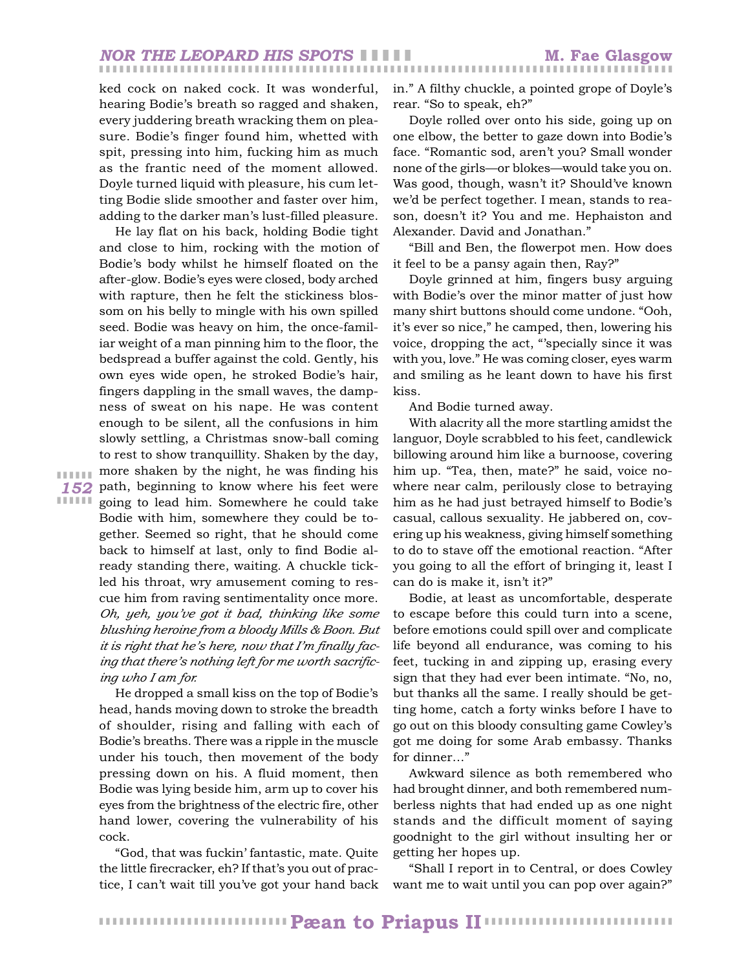#### ❚ ❚ ❚ ❚ ❚ ❚ ❚ ❚ ❚ ❚ ❚ ❚ ❚ ❚ ❚ ❚ ❚ ❚ ❚ ❚ ❚ ❚ ❚ ❚ ❚ ❚ ❚ ❚ ❚ ❚ ❚ ❚ ❚ ❚ ❚ ❚ ❚ ❚ ❚ ❚ ❚ ❚ ❚ ❚ ❚ ❚ ❚ ❚ ❚ ❚ ❚ ❚ ❚ ❚ ❚ ❚ ❚ ❚ ❚ ❚ ❚ ❚ ❚ ❚ ❚ ❚ ❚ ❚ ❚ ❚ ❚ ❚ ❚ ❚ ❚ ❚ ❚ ❚ ❚ ❚ ❚ ❚ ❚ ❚ ❚ *NOR THE LEOPARD HIS SPOTS* ❚ ❚ ❚ ❚ ❚ **M. Fae Glasgow**

ked cock on naked cock. It was wonderful, hearing Bodie's breath so ragged and shaken, every juddering breath wracking them on pleasure. Bodie's finger found him, whetted with spit, pressing into him, fucking him as much as the frantic need of the moment allowed. Doyle turned liquid with pleasure, his cum letting Bodie slide smoother and faster over him, adding to the darker man's lust-filled pleasure.

*152* path, beginning to know where his feet were He lay flat on his back, holding Bodie tight and close to him, rocking with the motion of Bodie's body whilst he himself floated on the after-glow. Bodie's eyes were closed, body arched with rapture, then he felt the stickiness blossom on his belly to mingle with his own spilled seed. Bodie was heavy on him, the once-familiar weight of a man pinning him to the floor, the bedspread a buffer against the cold. Gently, his own eyes wide open, he stroked Bodie's hair, fingers dappling in the small waves, the dampness of sweat on his nape. He was content enough to be silent, all the confusions in him slowly settling, a Christmas snow-ball coming to rest to show tranquillity. Shaken by the day, more shaken by the night, he was finding his going to lead him. Somewhere he could take Bodie with him, somewhere they could be together. Seemed so right, that he should come back to himself at last, only to find Bodie already standing there, waiting. A chuckle tickled his throat, wry amusement coming to rescue him from raving sentimentality once more. *Oh, yeh, you've got it bad, thinking like some blushing heroine from a bloody Mills & Boon. But it is right that he's here, now that I'm finally facing that there's nothing left for me worth sacrificing who I am for.*

> He dropped a small kiss on the top of Bodie's head, hands moving down to stroke the breadth of shoulder, rising and falling with each of Bodie's breaths. There was a ripple in the muscle under his touch, then movement of the body pressing down on his. A fluid moment, then Bodie was lying beside him, arm up to cover his eyes from the brightness of the electric fire, other hand lower, covering the vulnerability of his cock.

> "God, that was fuckin' fantastic, mate. Quite the little firecracker, eh? If that's you out of practice, I can't wait till you've got your hand back

in." A filthy chuckle, a pointed grope of Doyle's rear. "So to speak, eh?"

Doyle rolled over onto his side, going up on one elbow, the better to gaze down into Bodie's face. "Romantic sod, aren't you? Small wonder none of the girls—or blokes—would take you on. Was good, though, wasn't it? Should've known we'd be perfect together. I mean, stands to reason, doesn't it? You and me. Hephaiston and Alexander. David and Jonathan."

"Bill and Ben, the flowerpot men. How does it feel to be a pansy again then, Ray?"

Doyle grinned at him, fingers busy arguing with Bodie's over the minor matter of just how many shirt buttons should come undone. "Ooh, it's ever so nice," he camped, then, lowering his voice, dropping the act, "'specially since it was with you, love." He was coming closer, eyes warm and smiling as he leant down to have his first kiss.

And Bodie turned away.

With alacrity all the more startling amidst the languor, Doyle scrabbled to his feet, candlewick billowing around him like a burnoose, covering him up. "Tea, then, mate?" he said, voice nowhere near calm, perilously close to betraying him as he had just betrayed himself to Bodie's casual, callous sexuality. He jabbered on, covering up his weakness, giving himself something to do to stave off the emotional reaction. "After you going to all the effort of bringing it, least I can do is make it, isn't it?"

Bodie, at least as uncomfortable, desperate to escape before this could turn into a scene, before emotions could spill over and complicate life beyond all endurance, was coming to his feet, tucking in and zipping up, erasing every sign that they had ever been intimate. "No, no, but thanks all the same. I really should be getting home, catch a forty winks before I have to go out on this bloody consulting game Cowley's got me doing for some Arab embassy. Thanks for dinner…"

Awkward silence as both remembered who had brought dinner, and both remembered numberless nights that had ended up as one night stands and the difficult moment of saying goodnight to the girl without insulting her or getting her hopes up.

"Shall I report in to Central, or does Cowley want me to wait until you can pop over again?"

❚ ❚ ❚ ❚ ❚ ❚ ❚ ❚ ❚ ❚ ❚ ❚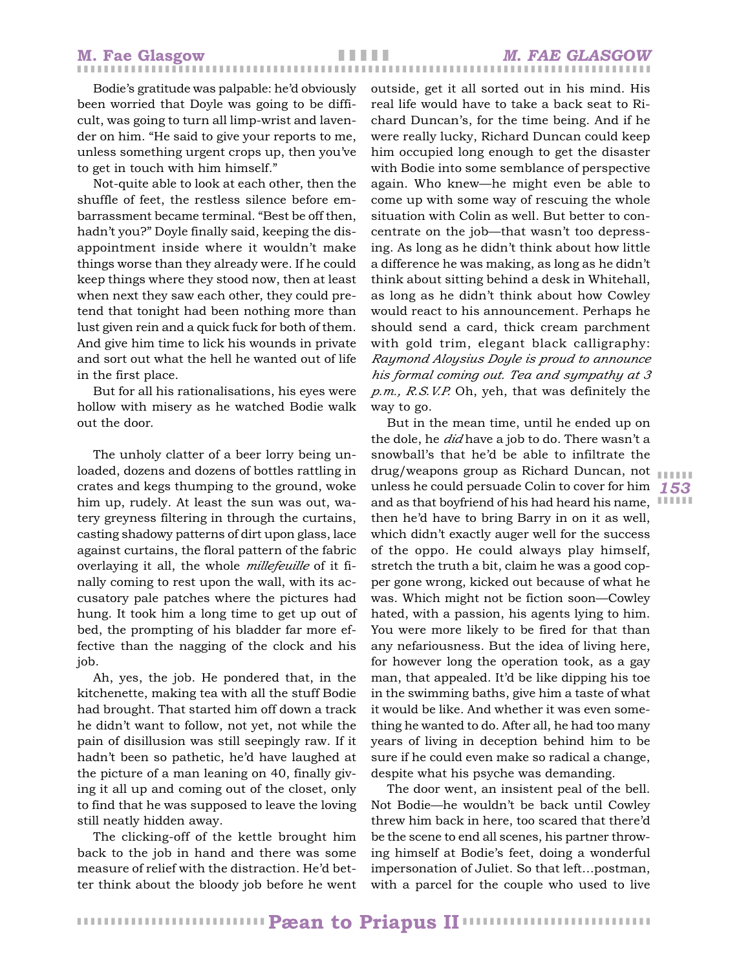# ❚ ❚ ❚ ❚ ❚

Bodie's gratitude was palpable: he'd obviously been worried that Doyle was going to be difficult, was going to turn all limp-wrist and lavender on him. "He said to give your reports to me, unless something urgent crops up, then you've to get in touch with him himself."

Not-quite able to look at each other, then the shuffle of feet, the restless silence before embarrassment became terminal. "Best be off then, hadn't you?" Doyle finally said, keeping the disappointment inside where it wouldn't make things worse than they already were. If he could keep things where they stood now, then at least when next they saw each other, they could pretend that tonight had been nothing more than lust given rein and a quick fuck for both of them. And give him time to lick his wounds in private and sort out what the hell he wanted out of life in the first place.

But for all his rationalisations, his eyes were hollow with misery as he watched Bodie walk out the door.

The unholy clatter of a beer lorry being unloaded, dozens and dozens of bottles rattling in crates and kegs thumping to the ground, woke him up, rudely. At least the sun was out, watery greyness filtering in through the curtains, casting shadowy patterns of dirt upon glass, lace against curtains, the floral pattern of the fabric overlaying it all, the whole *millefeuille* of it finally coming to rest upon the wall, with its accusatory pale patches where the pictures had hung. It took him a long time to get up out of bed, the prompting of his bladder far more effective than the nagging of the clock and his job.

Ah, yes, the job. He pondered that, in the kitchenette, making tea with all the stuff Bodie had brought. That started him off down a track he didn't want to follow, not yet, not while the pain of disillusion was still seepingly raw. If it hadn't been so pathetic, he'd have laughed at the picture of a man leaning on 40, finally giving it all up and coming out of the closet, only to find that he was supposed to leave the loving still neatly hidden away.

The clicking-off of the kettle brought him back to the job in hand and there was some measure of relief with the distraction. He'd better think about the bloody job before he went

outside, get it all sorted out in his mind. His real life would have to take a back seat to Richard Duncan's, for the time being. And if he were really lucky, Richard Duncan could keep him occupied long enough to get the disaster with Bodie into some semblance of perspective again. Who knew—he might even be able to come up with some way of rescuing the whole situation with Colin as well. But better to concentrate on the job—that wasn't too depressing. As long as he didn't think about how little a difference he was making, as long as he didn't think about sitting behind a desk in Whitehall, as long as he didn't think about how Cowley would react to his announcement. Perhaps he should send a card, thick cream parchment with gold trim, elegant black calligraphy: *Raymond Aloysius Doyle is proud to announce his formal coming out. Tea and sympathy at 3 p.m., R.S.V.P.* Oh, yeh, that was definitely the way to go.

*153* unless he could persuade Colin to cover for him and as that boyfriend of his had heard his name, IIIIII But in the mean time, until he ended up on the dole, he *did* have a job to do. There wasn't a snowball's that he'd be able to infiltrate the drug/weapons group as Richard Duncan, not then he'd have to bring Barry in on it as well, which didn't exactly auger well for the success of the oppo. He could always play himself, stretch the truth a bit, claim he was a good copper gone wrong, kicked out because of what he was. Which might not be fiction soon—Cowley hated, with a passion, his agents lying to him. You were more likely to be fired for that than any nefariousness. But the idea of living here, for however long the operation took, as a gay man, that appealed. It'd be like dipping his toe in the swimming baths, give him a taste of what it would be like. And whether it was even something he wanted to do. After all, he had too many years of living in deception behind him to be sure if he could even make so radical a change, despite what his psyche was demanding.

The door went, an insistent peal of the bell. Not Bodie—he wouldn't be back until Cowley threw him back in here, too scared that there'd be the scene to end all scenes, his partner throwing himself at Bodie's feet, doing a wonderful impersonation of Juliet. So that left…postman, with a parcel for the couple who used to live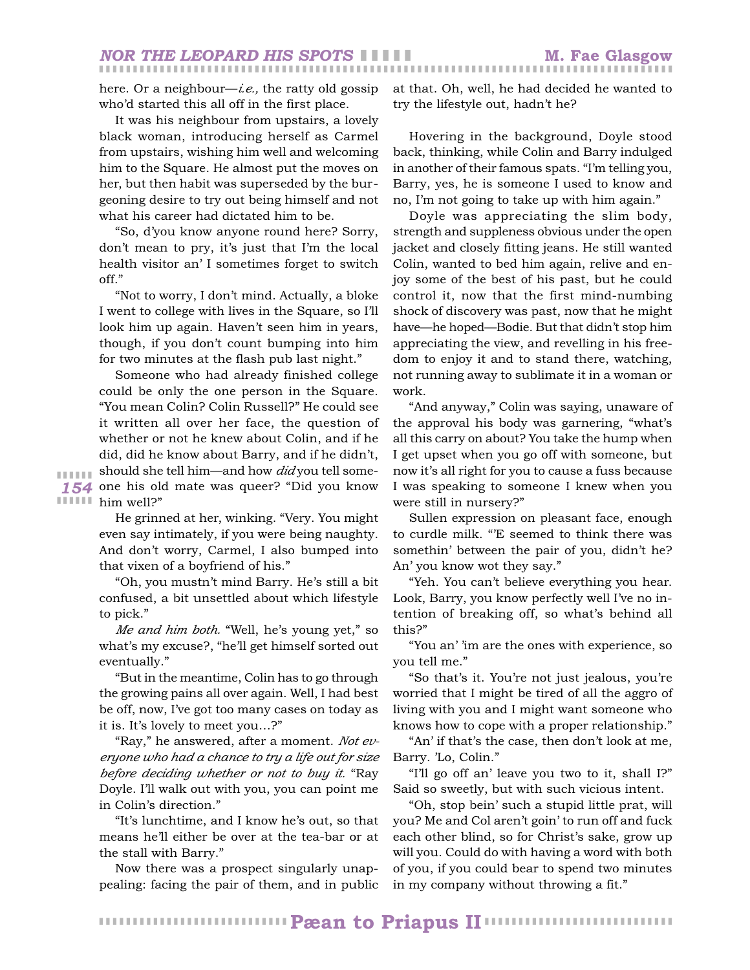here. Or a neighbour—*i.e.,* the ratty old gossip who'd started this all off in the first place.

It was his neighbour from upstairs, a lovely black woman, introducing herself as Carmel from upstairs, wishing him well and welcoming him to the Square. He almost put the moves on her, but then habit was superseded by the burgeoning desire to try out being himself and not what his career had dictated him to be.

"So, d'you know anyone round here? Sorry, don't mean to pry, it's just that I'm the local health visitor an' I sometimes forget to switch off."

"Not to worry, I don't mind. Actually, a bloke I went to college with lives in the Square, so I'll look him up again. Haven't seen him in years, though, if you don't count bumping into him for two minutes at the flash pub last night."

*154* one his old mate was queer? "Did you know **∎ ∎ ∎ ⊪** him well?" Someone who had already finished college could be only the one person in the Square. "You mean Colin? Colin Russell?" He could see it written all over her face, the question of whether or not he knew about Colin, and if he did, did he know about Barry, and if he didn't, should she tell him—and how *did* you tell some-

❚ ❚ ❚ ❚ ❚ ❚

He grinned at her, winking. "Very. You might even say intimately, if you were being naughty. And don't worry, Carmel, I also bumped into that vixen of a boyfriend of his."

"Oh, you mustn't mind Barry. He's still a bit confused, a bit unsettled about which lifestyle to pick."

*Me and him both.* "Well, he's young yet," so what's my excuse?, "he'll get himself sorted out eventually."

"But in the meantime, Colin has to go through the growing pains all over again. Well, I had best be off, now, I've got too many cases on today as it is. It's lovely to meet you…?"

"Ray," he answered, after a moment. *Not everyone who had a chance to try a life out for size before deciding whether or not to buy it.* "Ray Doyle. I'll walk out with you, you can point me in Colin's direction."

"It's lunchtime, and I know he's out, so that means he'll either be over at the tea-bar or at the stall with Barry."

Now there was a prospect singularly unappealing: facing the pair of them, and in public at that. Oh, well, he had decided he wanted to try the lifestyle out, hadn't he?

Hovering in the background, Doyle stood back, thinking, while Colin and Barry indulged in another of their famous spats. "I'm telling you, Barry, yes, he is someone I used to know and no, I'm not going to take up with him again."

Doyle was appreciating the slim body, strength and suppleness obvious under the open jacket and closely fitting jeans. He still wanted Colin, wanted to bed him again, relive and enjoy some of the best of his past, but he could control it, now that the first mind-numbing shock of discovery was past, now that he might have—he hoped—Bodie. But that didn't stop him appreciating the view, and revelling in his freedom to enjoy it and to stand there, watching, not running away to sublimate it in a woman or work.

"And anyway," Colin was saying, unaware of the approval his body was garnering, "what's all this carry on about? You take the hump when I get upset when you go off with someone, but now it's all right for you to cause a fuss because I was speaking to someone I knew when you were still in nursery?"

Sullen expression on pleasant face, enough to curdle milk. "'E seemed to think there was somethin' between the pair of you, didn't he? An' you know wot they say."

"Yeh. You can't believe everything you hear. Look, Barry, you know perfectly well I've no intention of breaking off, so what's behind all this?"

"You an' 'im are the ones with experience, so you tell me."

"So that's it. You're not just jealous, you're worried that I might be tired of all the aggro of living with you and I might want someone who knows how to cope with a proper relationship."

"An' if that's the case, then don't look at me, Barry. 'Lo, Colin."

"I'll go off an' leave you two to it, shall I?" Said so sweetly, but with such vicious intent.

"Oh, stop bein' such a stupid little prat, will you? Me and Col aren't goin' to run off and fuck each other blind, so for Christ's sake, grow up will you. Could do with having a word with both of you, if you could bear to spend two minutes in my company without throwing a fit."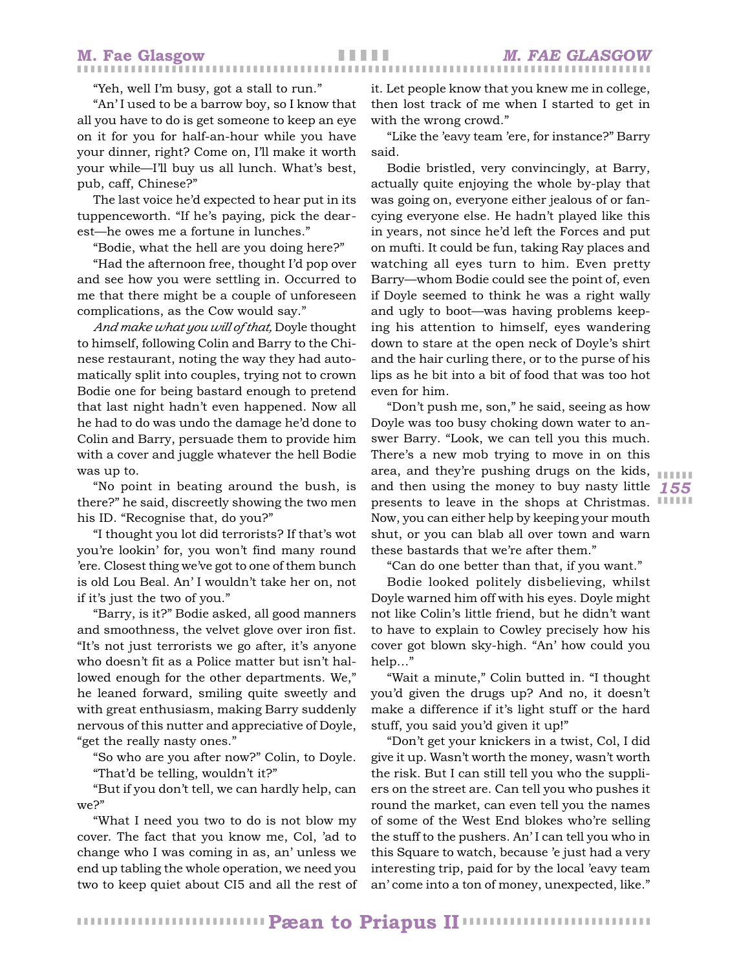"Yeh, well I'm busy, got a stall to run."

"An' I used to be a barrow boy, so I know that all you have to do is get someone to keep an eye on it for you for half-an-hour while you have your dinner, right? Come on, I'll make it worth your while—I'll buy us all lunch. What's best, pub, caff, Chinese?"

The last voice he'd expected to hear put in its tuppenceworth. "If he's paying, pick the dearest—he owes me a fortune in lunches."

"Bodie, what the hell are you doing here?"

"Had the afternoon free, thought I'd pop over and see how you were settling in. Occurred to me that there might be a couple of unforeseen complications, as the Cow would say."

*And make what you will of that,* Doyle thought to himself, following Colin and Barry to the Chinese restaurant, noting the way they had automatically split into couples, trying not to crown Bodie one for being bastard enough to pretend that last night hadn't even happened. Now all he had to do was undo the damage he'd done to Colin and Barry, persuade them to provide him with a cover and juggle whatever the hell Bodie was up to.

"No point in beating around the bush, is there?" he said, discreetly showing the two men his ID. "Recognise that, do you?"

"I thought you lot did terrorists? If that's wot you're lookin' for, you won't find many round 'ere. Closest thing we've got to one of them bunch is old Lou Beal. An' I wouldn't take her on, not if it's just the two of you."

"Barry, is it?" Bodie asked, all good manners and smoothness, the velvet glove over iron fist. "It's not just terrorists we go after, it's anyone who doesn't fit as a Police matter but isn't hallowed enough for the other departments. We," he leaned forward, smiling quite sweetly and with great enthusiasm, making Barry suddenly nervous of this nutter and appreciative of Doyle, "get the really nasty ones."

"So who are you after now?" Colin, to Doyle. "That'd be telling, wouldn't it?"

"But if you don't tell, we can hardly help, can we?"

"What I need you two to do is not blow my cover. The fact that you know me, Col, 'ad to change who I was coming in as, an' unless we end up tabling the whole operation, we need you two to keep quiet about CI5 and all the rest of it. Let people know that you knew me in college, then lost track of me when I started to get in with the wrong crowd."

"Like the 'eavy team 'ere, for instance?" Barry said.

Bodie bristled, very convincingly, at Barry, actually quite enjoying the whole by-play that was going on, everyone either jealous of or fancying everyone else. He hadn't played like this in years, not since he'd left the Forces and put on mufti. It could be fun, taking Ray places and watching all eyes turn to him. Even pretty Barry—whom Bodie could see the point of, even if Doyle seemed to think he was a right wally and ugly to boot—was having problems keeping his attention to himself, eyes wandering down to stare at the open neck of Doyle's shirt and the hair curling there, or to the purse of his lips as he bit into a bit of food that was too hot even for him.

*155* and then using the money to buy nasty little presents to leave in the shops at Christmas. IIIIII "Don't push me, son," he said, seeing as how Doyle was too busy choking down water to answer Barry. "Look, we can tell you this much. There's a new mob trying to move in on this area, and they're pushing drugs on the kids, Now, you can either help by keeping your mouth shut, or you can blab all over town and warn these bastards that we're after them."

"Can do one better than that, if you want."

Bodie looked politely disbelieving, whilst Doyle warned him off with his eyes. Doyle might not like Colin's little friend, but he didn't want to have to explain to Cowley precisely how his cover got blown sky-high. "An' how could you help…"

"Wait a minute," Colin butted in. "I thought you'd given the drugs up? And no, it doesn't make a difference if it's light stuff or the hard stuff, you said you'd given it up!"

"Don't get your knickers in a twist, Col, I did give it up. Wasn't worth the money, wasn't worth the risk. But I can still tell you who the suppliers on the street are. Can tell you who pushes it round the market, can even tell you the names of some of the West End blokes who're selling the stuff to the pushers. An' I can tell you who in this Square to watch, because 'e just had a very interesting trip, paid for by the local 'eavy team an' come into a ton of money, unexpected, like."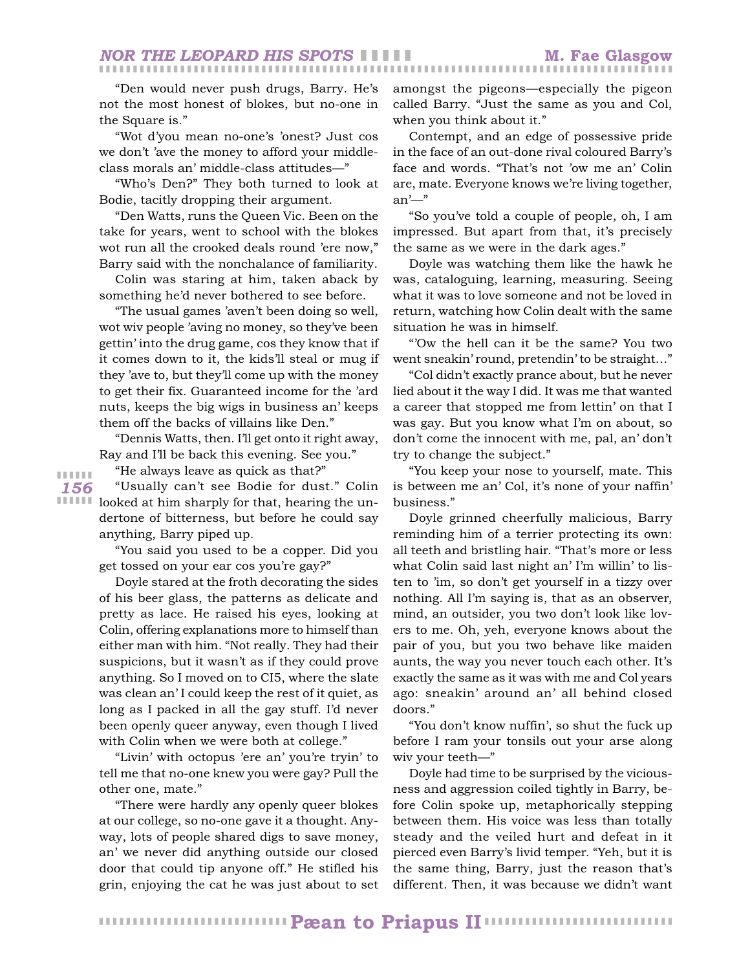"Den would never push drugs, Barry. He's not the most honest of blokes, but no-one in the Square is."

"Wot d'you mean no-one's 'onest? Just cos we don't 'ave the money to afford your middleclass morals an' middle-class attitudes—"

"Who's Den?" They both turned to look at Bodie, tacitly dropping their argument.

"Den Watts, runs the Queen Vic. Been on the take for years, went to school with the blokes wot run all the crooked deals round 'ere now," Barry said with the nonchalance of familiarity.

Colin was staring at him, taken aback by something he'd never bothered to see before.

"The usual games 'aven't been doing so well, wot wiv people 'aving no money, so they've been gettin' into the drug game, cos they know that if it comes down to it, the kids'll steal or mug if they 'ave to, but they'll come up with the money to get their fix. Guaranteed income for the 'ard nuts, keeps the big wigs in business an' keeps them off the backs of villains like Den."

"Dennis Watts, then. I'll get onto it right away, Ray and I'll be back this evening. See you."

*156* ❚ ❚ ❚ ❚ ❚ ❚

"He always leave as quick as that?"

**IIIIII** looked at him sharply for that, hearing the un-"Usually can't see Bodie for dust." Colin dertone of bitterness, but before he could say anything, Barry piped up.

> "You said you used to be a copper. Did you get tossed on your ear cos you're gay?"

> Doyle stared at the froth decorating the sides of his beer glass, the patterns as delicate and pretty as lace. He raised his eyes, looking at Colin, offering explanations more to himself than either man with him. "Not really. They had their suspicions, but it wasn't as if they could prove anything. So I moved on to CI5, where the slate was clean an' I could keep the rest of it quiet, as long as I packed in all the gay stuff. I'd never been openly queer anyway, even though I lived with Colin when we were both at college."

> "Livin' with octopus 'ere an' you're tryin' to tell me that no-one knew you were gay? Pull the other one, mate."

> "There were hardly any openly queer blokes at our college, so no-one gave it a thought. Anyway, lots of people shared digs to save money, an' we never did anything outside our closed door that could tip anyone off." He stifled his grin, enjoying the cat he was just about to set

amongst the pigeons—especially the pigeon called Barry. "Just the same as you and Col, when you think about it."

Contempt, and an edge of possessive pride in the face of an out-done rival coloured Barry's face and words. "That's not 'ow me an' Colin are, mate. Everyone knows we're living together, an'—"

"So you've told a couple of people, oh, I am impressed. But apart from that, it's precisely the same as we were in the dark ages."

Doyle was watching them like the hawk he was, cataloguing, learning, measuring. Seeing what it was to love someone and not be loved in return, watching how Colin dealt with the same situation he was in himself.

"'Ow the hell can it be the same? You two went sneakin' round, pretendin' to be straight…"

"Col didn't exactly prance about, but he never lied about it the way I did. It was me that wanted a career that stopped me from lettin' on that I was gay. But you know what I'm on about, so don't come the innocent with me, pal, an' don't try to change the subject."

"You keep your nose to yourself, mate. This is between me an' Col, it's none of your naffin' business."

Doyle grinned cheerfully malicious, Barry reminding him of a terrier protecting its own: all teeth and bristling hair. "That's more or less what Colin said last night an' I'm willin' to listen to 'im, so don't get yourself in a tizzy over nothing. All I'm saying is, that as an observer, mind, an outsider, you two don't look like lovers to me. Oh, yeh, everyone knows about the pair of you, but you two behave like maiden aunts, the way you never touch each other. It's exactly the same as it was with me and Col years ago: sneakin' around an' all behind closed doors."

"You don't know nuffin', so shut the fuck up before I ram your tonsils out your arse along wiv your teeth—"

Doyle had time to be surprised by the viciousness and aggression coiled tightly in Barry, before Colin spoke up, metaphorically stepping between them. His voice was less than totally steady and the veiled hurt and defeat in it pierced even Barry's livid temper. "Yeh, but it is the same thing, Barry, just the reason that's different. Then, it was because we didn't want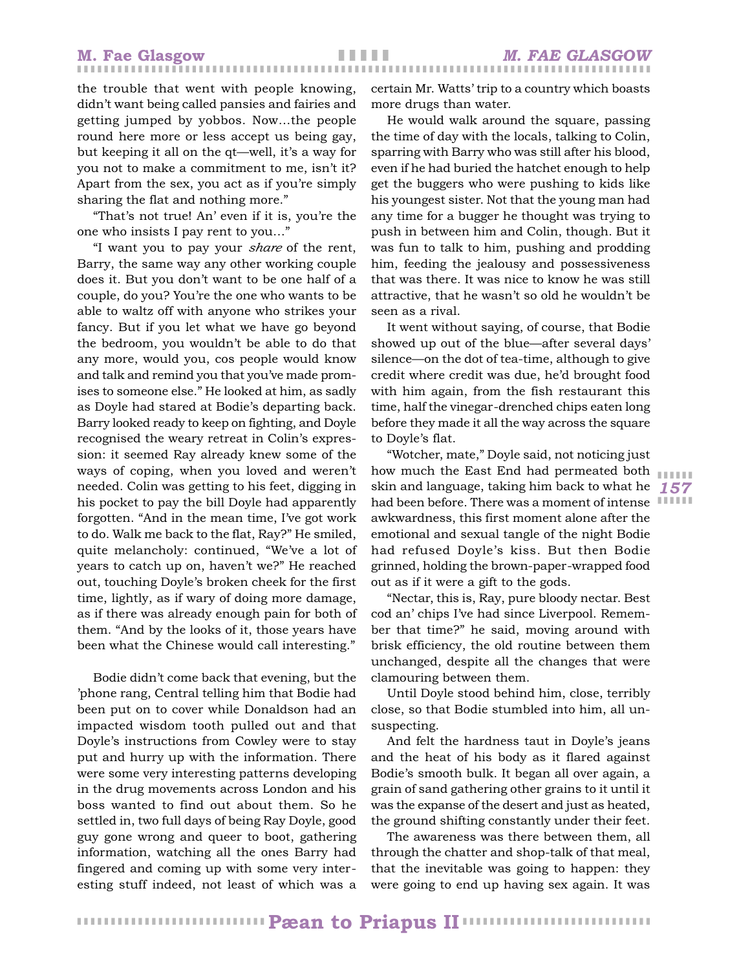the trouble that went with people knowing, didn't want being called pansies and fairies and getting jumped by yobbos. Now…the people round here more or less accept us being gay, but keeping it all on the qt—well, it's a way for you not to make a commitment to me, isn't it? Apart from the sex, you act as if you're simply sharing the flat and nothing more."

"That's not true! An' even if it is, you're the one who insists I pay rent to you…"

"I want you to pay your *share* of the rent, Barry, the same way any other working couple does it. But you don't want to be one half of a couple, do you? You're the one who wants to be able to waltz off with anyone who strikes your fancy. But if you let what we have go beyond the bedroom, you wouldn't be able to do that any more, would you, cos people would know and talk and remind you that you've made promises to someone else." He looked at him, as sadly as Doyle had stared at Bodie's departing back. Barry looked ready to keep on fighting, and Doyle recognised the weary retreat in Colin's expression: it seemed Ray already knew some of the ways of coping, when you loved and weren't needed. Colin was getting to his feet, digging in his pocket to pay the bill Doyle had apparently forgotten. "And in the mean time, I've got work to do. Walk me back to the flat, Ray?" He smiled, quite melancholy: continued, "We've a lot of years to catch up on, haven't we?" He reached out, touching Doyle's broken cheek for the first time, lightly, as if wary of doing more damage, as if there was already enough pain for both of them. "And by the looks of it, those years have been what the Chinese would call interesting."

Bodie didn't come back that evening, but the 'phone rang, Central telling him that Bodie had been put on to cover while Donaldson had an impacted wisdom tooth pulled out and that Doyle's instructions from Cowley were to stay put and hurry up with the information. There were some very interesting patterns developing in the drug movements across London and his boss wanted to find out about them. So he settled in, two full days of being Ray Doyle, good guy gone wrong and queer to boot, gathering information, watching all the ones Barry had fingered and coming up with some very interesting stuff indeed, not least of which was a

certain Mr. Watts' trip to a country which boasts more drugs than water.

He would walk around the square, passing the time of day with the locals, talking to Colin, sparring with Barry who was still after his blood, even if he had buried the hatchet enough to help get the buggers who were pushing to kids like his youngest sister. Not that the young man had any time for a bugger he thought was trying to push in between him and Colin, though. But it was fun to talk to him, pushing and prodding him, feeding the jealousy and possessiveness that was there. It was nice to know he was still attractive, that he wasn't so old he wouldn't be seen as a rival.

It went without saying, of course, that Bodie showed up out of the blue—after several days' silence—on the dot of tea-time, although to give credit where credit was due, he'd brought food with him again, from the fish restaurant this time, half the vinegar-drenched chips eaten long before they made it all the way across the square to Doyle's flat.

*157* skin and language, taking him back to what he had been before. There was a moment of intense "Wotcher, mate," Doyle said, not noticing just how much the East End had permeated both awkwardness, this first moment alone after the emotional and sexual tangle of the night Bodie had refused Doyle's kiss. But then Bodie grinned, holding the brown-paper-wrapped food out as if it were a gift to the gods.

"Nectar, this is, Ray, pure bloody nectar. Best cod an' chips I've had since Liverpool. Remember that time?" he said, moving around with brisk efficiency, the old routine between them unchanged, despite all the changes that were clamouring between them.

Until Doyle stood behind him, close, terribly close, so that Bodie stumbled into him, all unsuspecting.

And felt the hardness taut in Doyle's jeans and the heat of his body as it flared against Bodie's smooth bulk. It began all over again, a grain of sand gathering other grains to it until it was the expanse of the desert and just as heated, the ground shifting constantly under their feet.

The awareness was there between them, all through the chatter and shop-talk of that meal, that the inevitable was going to happen: they were going to end up having sex again. It was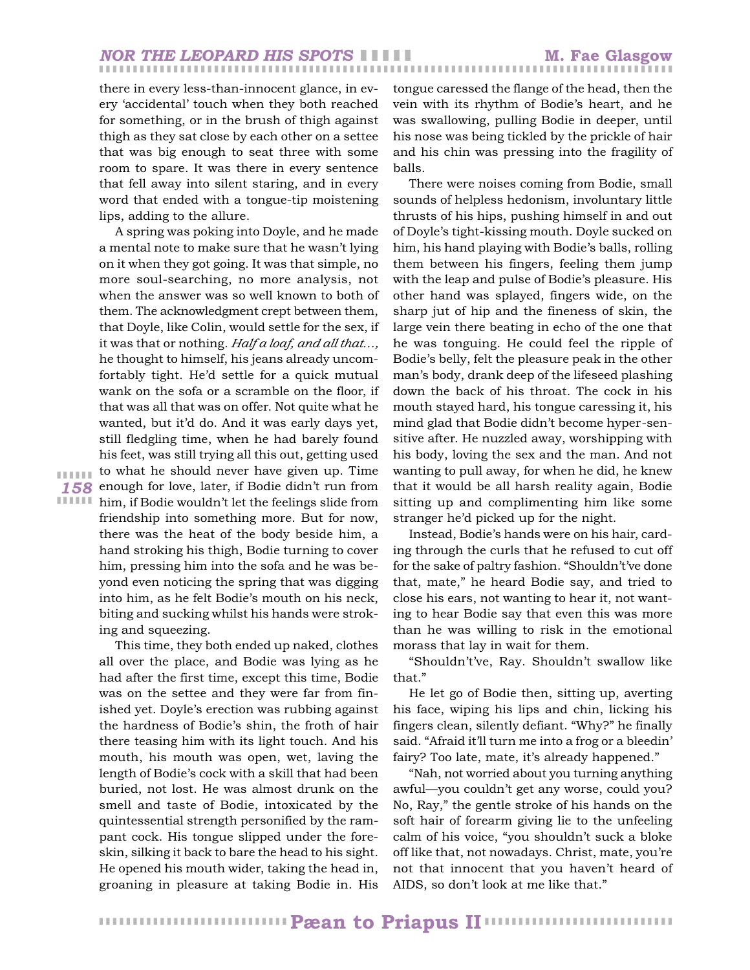there in every less-than-innocent glance, in every 'accidental' touch when they both reached for something, or in the brush of thigh against thigh as they sat close by each other on a settee that was big enough to seat three with some room to spare. It was there in every sentence that fell away into silent staring, and in every word that ended with a tongue-tip moistening lips, adding to the allure.

*158* enough for love, later, if Bodie didn't run from **IIIIII** him, if Bodie wouldn't let the feelings slide from A spring was poking into Doyle, and he made a mental note to make sure that he wasn't lying on it when they got going. It was that simple, no more soul-searching, no more analysis, not when the answer was so well known to both of them. The acknowledgment crept between them, that Doyle, like Colin, would settle for the sex, if it was that or nothing*. Half a loaf, and all that…,* he thought to himself, his jeans already uncomfortably tight. He'd settle for a quick mutual wank on the sofa or a scramble on the floor, if that was all that was on offer. Not quite what he wanted, but it'd do. And it was early days yet, still fledgling time, when he had barely found his feet, was still trying all this out, getting used to what he should never have given up. Time friendship into something more. But for now, there was the heat of the body beside him, a hand stroking his thigh, Bodie turning to cover him, pressing him into the sofa and he was beyond even noticing the spring that was digging into him, as he felt Bodie's mouth on his neck, biting and sucking whilst his hands were stroking and squeezing.

❚ ❚ ❚ ❚ ❚ ❚

This time, they both ended up naked, clothes all over the place, and Bodie was lying as he had after the first time, except this time, Bodie was on the settee and they were far from finished yet. Doyle's erection was rubbing against the hardness of Bodie's shin, the froth of hair there teasing him with its light touch. And his mouth, his mouth was open, wet, laving the length of Bodie's cock with a skill that had been buried, not lost. He was almost drunk on the smell and taste of Bodie, intoxicated by the quintessential strength personified by the rampant cock. His tongue slipped under the foreskin, silking it back to bare the head to his sight. He opened his mouth wider, taking the head in, groaning in pleasure at taking Bodie in. His

tongue caressed the flange of the head, then the vein with its rhythm of Bodie's heart, and he was swallowing, pulling Bodie in deeper, until his nose was being tickled by the prickle of hair and his chin was pressing into the fragility of balls.

There were noises coming from Bodie, small sounds of helpless hedonism, involuntary little thrusts of his hips, pushing himself in and out of Doyle's tight-kissing mouth. Doyle sucked on him, his hand playing with Bodie's balls, rolling them between his fingers, feeling them jump with the leap and pulse of Bodie's pleasure. His other hand was splayed, fingers wide, on the sharp jut of hip and the fineness of skin, the large vein there beating in echo of the one that he was tonguing. He could feel the ripple of Bodie's belly, felt the pleasure peak in the other man's body, drank deep of the lifeseed plashing down the back of his throat. The cock in his mouth stayed hard, his tongue caressing it, his mind glad that Bodie didn't become hyper-sensitive after. He nuzzled away, worshipping with his body, loving the sex and the man. And not wanting to pull away, for when he did, he knew that it would be all harsh reality again, Bodie sitting up and complimenting him like some stranger he'd picked up for the night.

Instead, Bodie's hands were on his hair, carding through the curls that he refused to cut off for the sake of paltry fashion. "Shouldn't've done that, mate," he heard Bodie say, and tried to close his ears, not wanting to hear it, not wanting to hear Bodie say that even this was more than he was willing to risk in the emotional morass that lay in wait for them.

"Shouldn't've, Ray. Shouldn't swallow like that."

He let go of Bodie then, sitting up, averting his face, wiping his lips and chin, licking his fingers clean, silently defiant. "Why?" he finally said. "Afraid it'll turn me into a frog or a bleedin' fairy? Too late, mate, it's already happened."

"Nah, not worried about you turning anything awful—you couldn't get any worse, could you? No, Ray," the gentle stroke of his hands on the soft hair of forearm giving lie to the unfeeling calm of his voice, "you shouldn't suck a bloke off like that, not nowadays. Christ, mate, you're not that innocent that you haven't heard of AIDS, so don't look at me like that."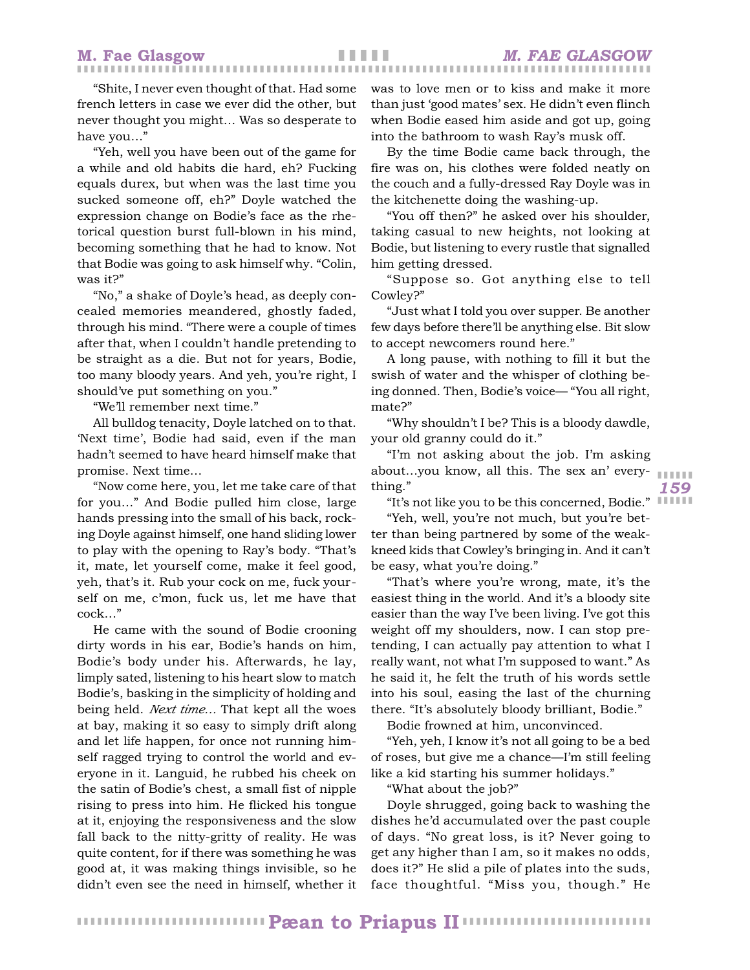"Shite, I never even thought of that. Had some french letters in case we ever did the other, but never thought you might… Was so desperate to have you…"

"Yeh, well you have been out of the game for a while and old habits die hard, eh? Fucking equals durex, but when was the last time you sucked someone off, eh?" Doyle watched the expression change on Bodie's face as the rhetorical question burst full-blown in his mind, becoming something that he had to know. Not that Bodie was going to ask himself why. "Colin, was it?"

"No," a shake of Doyle's head, as deeply concealed memories meandered, ghostly faded, through his mind. "There were a couple of times after that, when I couldn't handle pretending to be straight as a die. But not for years, Bodie, too many bloody years. And yeh, you're right, I should've put something on you."

"We'll remember next time."

All bulldog tenacity, Doyle latched on to that. 'Next time', Bodie had said, even if the man hadn't seemed to have heard himself make that promise. Next time…

"Now come here, you, let me take care of that for you…" And Bodie pulled him close, large hands pressing into the small of his back, rocking Doyle against himself, one hand sliding lower to play with the opening to Ray's body. "That's it, mate, let yourself come, make it feel good, yeh, that's it. Rub your cock on me, fuck yourself on me, c'mon, fuck us, let me have that cock…"

He came with the sound of Bodie crooning dirty words in his ear, Bodie's hands on him, Bodie's body under his. Afterwards, he lay, limply sated, listening to his heart slow to match Bodie's, basking in the simplicity of holding and being held. *Next time…* That kept all the woes at bay, making it so easy to simply drift along and let life happen, for once not running himself ragged trying to control the world and everyone in it. Languid, he rubbed his cheek on the satin of Bodie's chest, a small fist of nipple rising to press into him. He flicked his tongue at it, enjoying the responsiveness and the slow fall back to the nitty-gritty of reality. He was quite content, for if there was something he was good at, it was making things invisible, so he didn't even see the need in himself, whether it

was to love men or to kiss and make it more than just 'good mates' sex. He didn't even flinch when Bodie eased him aside and got up, going into the bathroom to wash Ray's musk off.

By the time Bodie came back through, the fire was on, his clothes were folded neatly on the couch and a fully-dressed Ray Doyle was in the kitchenette doing the washing-up.

"You off then?" he asked over his shoulder, taking casual to new heights, not looking at Bodie, but listening to every rustle that signalled him getting dressed.

"Suppose so. Got anything else to tell Cowley?"

"Just what I told you over supper. Be another few days before there'll be anything else. Bit slow to accept newcomers round here."

A long pause, with nothing to fill it but the swish of water and the whisper of clothing being donned. Then, Bodie's voice— "You all right, mate?"

"Why shouldn't I be? This is a bloody dawdle, your old granny could do it."

❚ ❚ ❚ ❚ ❚ ❚ "I'm not asking about the job. I'm asking about…you know, all this. The sex an' everything."

"It's not like you to be this concerned, Bodie." IIIIII

*159*

"Yeh, well, you're not much, but you're better than being partnered by some of the weakkneed kids that Cowley's bringing in. And it can't be easy, what you're doing."

"That's where you're wrong, mate, it's the easiest thing in the world. And it's a bloody site easier than the way I've been living. I've got this weight off my shoulders, now. I can stop pretending, I can actually pay attention to what I really want, not what I'm supposed to want." As he said it, he felt the truth of his words settle into his soul, easing the last of the churning there. "It's absolutely bloody brilliant, Bodie."

Bodie frowned at him, unconvinced.

"Yeh, yeh, I know it's not all going to be a bed of roses, but give me a chance—I'm still feeling like a kid starting his summer holidays."

"What about the job?"

Doyle shrugged, going back to washing the dishes he'd accumulated over the past couple of days. "No great loss, is it? Never going to get any higher than I am, so it makes no odds, does it?" He slid a pile of plates into the suds, face thoughtful. "Miss you, though." He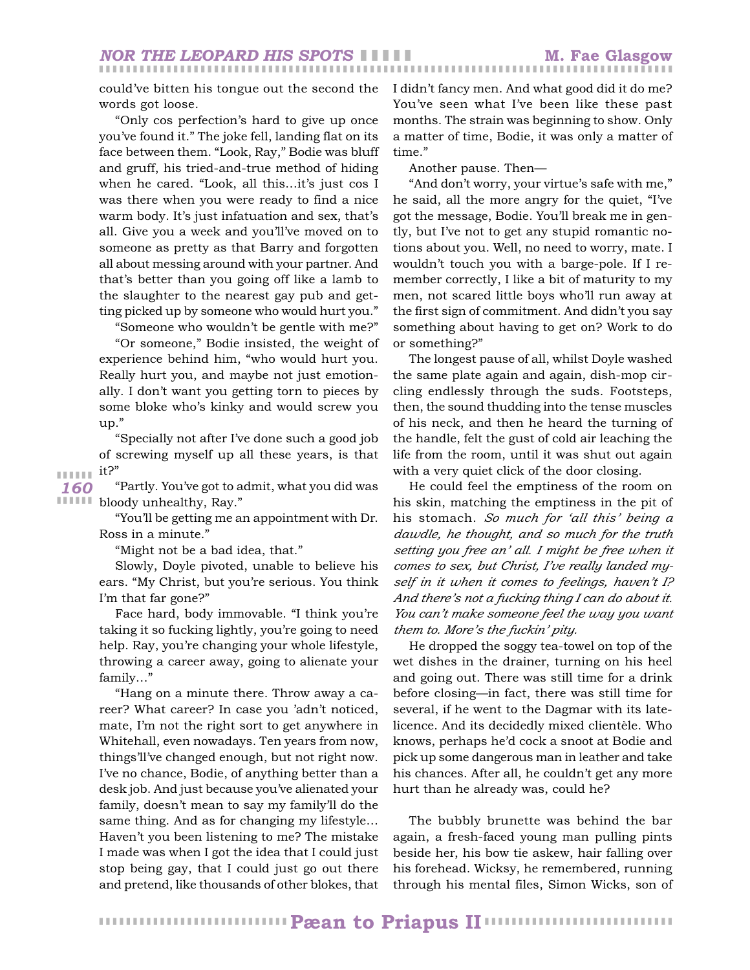could've bitten his tongue out the second the words got loose.

"Only cos perfection's hard to give up once you've found it." The joke fell, landing flat on its face between them. "Look, Ray," Bodie was bluff and gruff, his tried-and-true method of hiding when he cared. "Look, all this…it's just cos I was there when you were ready to find a nice warm body. It's just infatuation and sex, that's all. Give you a week and you'll've moved on to someone as pretty as that Barry and forgotten all about messing around with your partner. And that's better than you going off like a lamb to the slaughter to the nearest gay pub and getting picked up by someone who would hurt you."

"Someone who wouldn't be gentle with me?" "Or someone," Bodie insisted, the weight of experience behind him, "who would hurt you. Really hurt you, and maybe not just emotionally. I don't want you getting torn to pieces by some bloke who's kinky and would screw you up."

"Specially not after I've done such a good job of screwing myself up all these years, is that it?"

**IIIIII** bloody unhealthy, Ray." "Partly. You've got to admit, what you did was

> "You'll be getting me an appointment with Dr. Ross in a minute."

"Might not be a bad idea, that."

Slowly, Doyle pivoted, unable to believe his ears. "My Christ, but you're serious. You think I'm that far gone?"

Face hard, body immovable. "I think you're taking it so fucking lightly, you're going to need help. Ray, you're changing your whole lifestyle, throwing a career away, going to alienate your family…"

"Hang on a minute there. Throw away a career? What career? In case you 'adn't noticed, mate, I'm not the right sort to get anywhere in Whitehall, even nowadays. Ten years from now, things'll've changed enough, but not right now. I've no chance, Bodie, of anything better than a desk job. And just because you've alienated your family, doesn't mean to say my family'll do the same thing. And as for changing my lifestyle… Haven't you been listening to me? The mistake I made was when I got the idea that I could just stop being gay, that I could just go out there and pretend, like thousands of other blokes, that I didn't fancy men. And what good did it do me? You've seen what I've been like these past months. The strain was beginning to show. Only a matter of time, Bodie, it was only a matter of time."

Another pause. Then—

❚ ❚ ❚ ❚ ❚ ❚ ❚ ❚ ❚ ❚ ❚ ❚ ❚ ❚ ❚ ❚ ❚ ❚ ❚ ❚ ❚ ❚ ❚ ❚ ❚ ❚ ❚ ❚ ❚ ❚ ❚ ❚ ❚ ❚ ❚ ❚ ❚ ❚ ❚ ❚ ❚ ❚ ❚ ❚ ❚ ❚ ❚ ❚ ❚ ❚ ❚ ❚ ❚ ❚ ❚ ❚ ❚ ❚ ❚ ❚ ❚ ❚ ❚ ❚ ❚ ❚ ❚ ❚ ❚ ❚ ❚ ❚ ❚ ❚ ❚ ❚ ❚ ❚ ❚ ❚ ❚ ❚ ❚ ❚ ❚

"And don't worry, your virtue's safe with me," he said, all the more angry for the quiet, "I've got the message, Bodie. You'll break me in gently, but I've not to get any stupid romantic notions about you. Well, no need to worry, mate. I wouldn't touch you with a barge-pole. If I remember correctly, I like a bit of maturity to my men, not scared little boys who'll run away at the first sign of commitment. And didn't you say something about having to get on? Work to do or something?"

The longest pause of all, whilst Doyle washed the same plate again and again, dish-mop circling endlessly through the suds. Footsteps, then, the sound thudding into the tense muscles of his neck, and then he heard the turning of the handle, felt the gust of cold air leaching the life from the room, until it was shut out again with a very quiet click of the door closing.

He could feel the emptiness of the room on his skin, matching the emptiness in the pit of his stomach. *So much for 'all this' being a dawdle, he thought, and so much for the truth setting you free an' all. I might be free when it comes to sex, but Christ, I've really landed myself in it when it comes to feelings, haven't I? And there's not a fucking thing I can do about it. You can't make someone feel the way you want them to. More's the fuckin' pity.*

He dropped the soggy tea-towel on top of the wet dishes in the drainer, turning on his heel and going out. There was still time for a drink before closing—in fact, there was still time for several, if he went to the Dagmar with its latelicence. And its decidedly mixed clientèle. Who knows, perhaps he'd cock a snoot at Bodie and pick up some dangerous man in leather and take his chances. After all, he couldn't get any more hurt than he already was, could he?

The bubbly brunette was behind the bar again, a fresh-faced young man pulling pints beside her, his bow tie askew, hair falling over his forehead. Wicksy, he remembered, running through his mental files, Simon Wicks, son of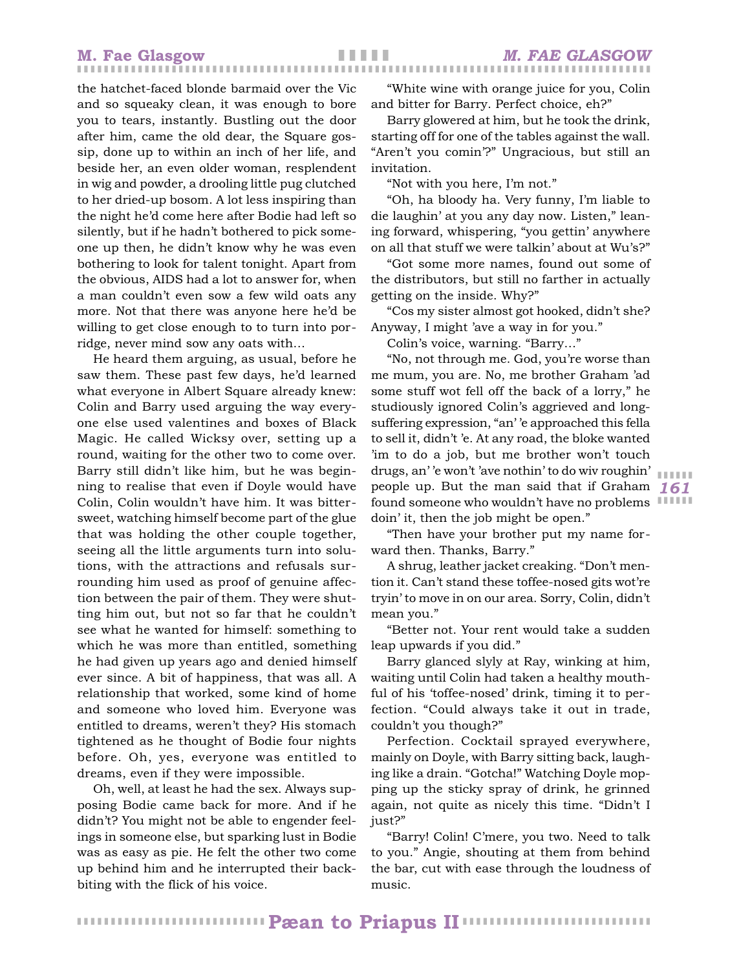the hatchet-faced blonde barmaid over the Vic and so squeaky clean, it was enough to bore you to tears, instantly. Bustling out the door after him, came the old dear, the Square gossip, done up to within an inch of her life, and beside her, an even older woman, resplendent in wig and powder, a drooling little pug clutched to her dried-up bosom. A lot less inspiring than the night he'd come here after Bodie had left so silently, but if he hadn't bothered to pick someone up then, he didn't know why he was even bothering to look for talent tonight. Apart from the obvious, AIDS had a lot to answer for, when a man couldn't even sow a few wild oats any more. Not that there was anyone here he'd be willing to get close enough to to turn into porridge, never mind sow any oats with…

He heard them arguing, as usual, before he saw them. These past few days, he'd learned what everyone in Albert Square already knew: Colin and Barry used arguing the way everyone else used valentines and boxes of Black Magic. He called Wicksy over, setting up a round, waiting for the other two to come over. Barry still didn't like him, but he was beginning to realise that even if Doyle would have Colin, Colin wouldn't have him. It was bittersweet, watching himself become part of the glue that was holding the other couple together, seeing all the little arguments turn into solutions, with the attractions and refusals surrounding him used as proof of genuine affection between the pair of them. They were shutting him out, but not so far that he couldn't see what he wanted for himself: something to which he was more than entitled, something he had given up years ago and denied himself ever since. A bit of happiness, that was all. A relationship that worked, some kind of home and someone who loved him. Everyone was entitled to dreams, weren't they? His stomach tightened as he thought of Bodie four nights before. Oh, yes, everyone was entitled to dreams, even if they were impossible.

Oh, well, at least he had the sex. Always supposing Bodie came back for more. And if he didn't? You might not be able to engender feelings in someone else, but sparking lust in Bodie was as easy as pie. He felt the other two come up behind him and he interrupted their backbiting with the flick of his voice.

"White wine with orange juice for you, Colin and bitter for Barry. Perfect choice, eh?"

Barry glowered at him, but he took the drink, starting off for one of the tables against the wall. "Aren't you comin'?" Ungracious, but still an invitation.

"Not with you here, I'm not."

"Oh, ha bloody ha. Very funny, I'm liable to die laughin' at you any day now. Listen," leaning forward, whispering, "you gettin' anywhere on all that stuff we were talkin' about at Wu's?"

"Got some more names, found out some of the distributors, but still no farther in actually getting on the inside. Why?"

"Cos my sister almost got hooked, didn't she? Anyway, I might 'ave a way in for you."

Colin's voice, warning. "Barry…"

*161* people up. But the man said that if Graham found someone who wouldn't have no problems IIIIII "No, not through me. God, you're worse than me mum, you are. No, me brother Graham 'ad some stuff wot fell off the back of a lorry," he studiously ignored Colin's aggrieved and longsuffering expression, "an' 'e approached this fella to sell it, didn't 'e. At any road, the bloke wanted 'im to do a job, but me brother won't touch drugs, an' 'e won't 'ave nothin' to do wiv roughin' doin' it, then the job might be open."

❚ ❚ ❚ ❚ ❚ ❚

"Then have your brother put my name forward then. Thanks, Barry."

A shrug, leather jacket creaking. "Don't mention it. Can't stand these toffee-nosed gits wot're tryin' to move in on our area. Sorry, Colin, didn't mean you."

"Better not. Your rent would take a sudden leap upwards if you did."

Barry glanced slyly at Ray, winking at him, waiting until Colin had taken a healthy mouthful of his 'toffee-nosed' drink, timing it to perfection. "Could always take it out in trade, couldn't you though?"

Perfection. Cocktail sprayed everywhere, mainly on Doyle, with Barry sitting back, laughing like a drain. "Gotcha!" Watching Doyle mopping up the sticky spray of drink, he grinned again, not quite as nicely this time. "Didn't I just?"

"Barry! Colin! C'mere, you two. Need to talk to you." Angie, shouting at them from behind the bar, cut with ease through the loudness of music.

❚ ❚ ❚ ❚ ❚ ❚ ❚ ❚ ❚ ❚ ❚ ❚ ❚ ❚ ❚ ❚ ❚ ❚ ❚ ❚ ❚ ❚ ❚ ❚ ❚ ❚ ❚ ❚ ❚ ❚ ❚ ❚ ❚ ❚ ❚ ❚ ❚ ❚ ❚ ❚ ❚ ❚ ❚ ❚ ❚ ❚ ❚ ❚ ❚ ❚ ❚ ❚ ❚ ❚ ❚ ❚ **Pæan to Priapus II**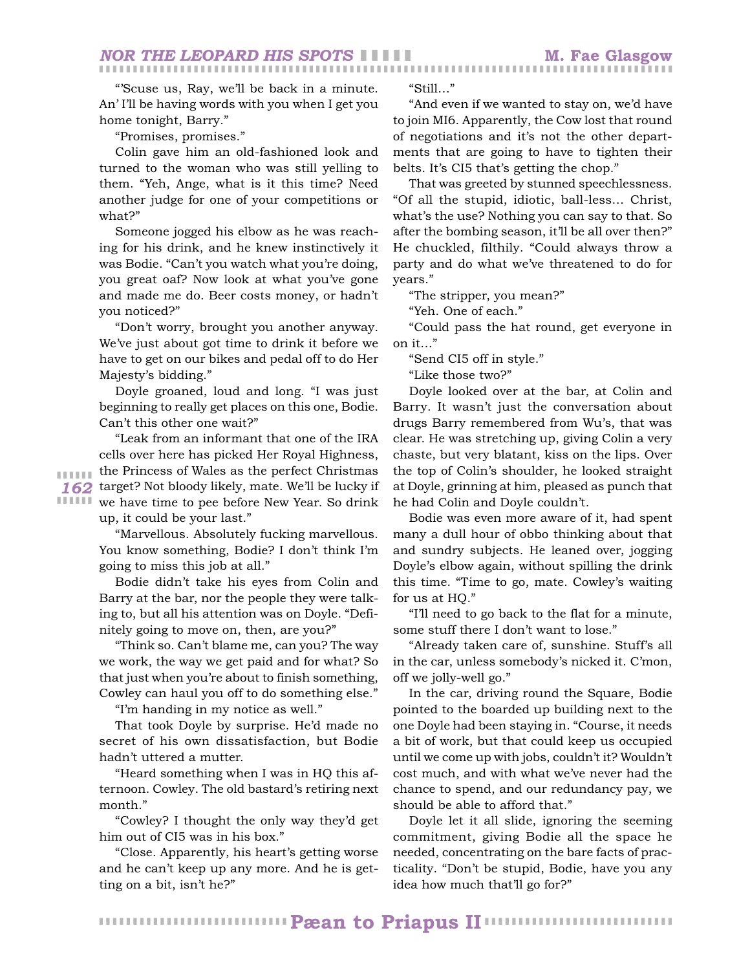"'Scuse us, Ray, we'll be back in a minute. An' I'll be having words with you when I get you home tonight, Barry."

"Promises, promises."

Colin gave him an old-fashioned look and turned to the woman who was still yelling to them. "Yeh, Ange, what is it this time? Need another judge for one of your competitions or what?"

Someone jogged his elbow as he was reaching for his drink, and he knew instinctively it was Bodie. "Can't you watch what you're doing, you great oaf? Now look at what you've gone and made me do. Beer costs money, or hadn't you noticed?"

"Don't worry, brought you another anyway. We've just about got time to drink it before we have to get on our bikes and pedal off to do Her Majesty's bidding."

Doyle groaned, loud and long. "I was just beginning to really get places on this one, Bodie. Can't this other one wait?"

*162* target? Not bloody likely, mate. We'll be lucky if **IIIIII** we have time to pee before New Year. So drink "Leak from an informant that one of the IRA cells over here has picked Her Royal Highness, the Princess of Wales as the perfect Christmas up, it could be your last."

> "Marvellous. Absolutely fucking marvellous. You know something, Bodie? I don't think I'm going to miss this job at all."

> Bodie didn't take his eyes from Colin and Barry at the bar, nor the people they were talking to, but all his attention was on Doyle. "Definitely going to move on, then, are you?"

> "Think so. Can't blame me, can you? The way we work, the way we get paid and for what? So that just when you're about to finish something, Cowley can haul you off to do something else."

"I'm handing in my notice as well."

That took Doyle by surprise. He'd made no secret of his own dissatisfaction, but Bodie hadn't uttered a mutter.

"Heard something when I was in HQ this afternoon. Cowley. The old bastard's retiring next month."

"Cowley? I thought the only way they'd get him out of CI5 was in his box."

"Close. Apparently, his heart's getting worse and he can't keep up any more. And he is getting on a bit, isn't he?"

"Still…"

❚ ❚ ❚ ❚ ❚ ❚ ❚ ❚ ❚ ❚ ❚ ❚ ❚ ❚ ❚ ❚ ❚ ❚ ❚ ❚ ❚ ❚ ❚ ❚ ❚ ❚ ❚ ❚ ❚ ❚ ❚ ❚ ❚ ❚ ❚ ❚ ❚ ❚ ❚ ❚ ❚ ❚ ❚ ❚ ❚ ❚ ❚ ❚ ❚ ❚ ❚ ❚ ❚ ❚ ❚ ❚ ❚ ❚ ❚ ❚ ❚ ❚ ❚ ❚ ❚ ❚ ❚ ❚ ❚ ❚ ❚ ❚ ❚ ❚ ❚ ❚ ❚ ❚ ❚ ❚ ❚ ❚ ❚ ❚ ❚

"And even if we wanted to stay on, we'd have to join MI6. Apparently, the Cow lost that round of negotiations and it's not the other departments that are going to have to tighten their belts. It's CI5 that's getting the chop."

That was greeted by stunned speechlessness. "Of all the stupid, idiotic, ball-less… Christ, what's the use? Nothing you can say to that. So after the bombing season, it'll be all over then?" He chuckled, filthily. "Could always throw a party and do what we've threatened to do for years."

"The stripper, you mean?"

"Yeh. One of each."

"Could pass the hat round, get everyone in on it…"

"Send CI5 off in style."

"Like those two?"

Doyle looked over at the bar, at Colin and Barry. It wasn't just the conversation about drugs Barry remembered from Wu's, that was clear. He was stretching up, giving Colin a very chaste, but very blatant, kiss on the lips. Over the top of Colin's shoulder, he looked straight at Doyle, grinning at him, pleased as punch that he had Colin and Doyle couldn't.

Bodie was even more aware of it, had spent many a dull hour of obbo thinking about that and sundry subjects. He leaned over, jogging Doyle's elbow again, without spilling the drink this time. "Time to go, mate. Cowley's waiting for us at HQ."

"I'll need to go back to the flat for a minute, some stuff there I don't want to lose."

"Already taken care of, sunshine. Stuff's all in the car, unless somebody's nicked it. C'mon, off we jolly-well go."

In the car, driving round the Square, Bodie pointed to the boarded up building next to the one Doyle had been staying in. "Course, it needs a bit of work, but that could keep us occupied until we come up with jobs, couldn't it? Wouldn't cost much, and with what we've never had the chance to spend, and our redundancy pay, we should be able to afford that."

Doyle let it all slide, ignoring the seeming commitment, giving Bodie all the space he needed, concentrating on the bare facts of practicality. "Don't be stupid, Bodie, have you any idea how much that'll go for?"

❚ ❚ ❚ ❚ ❚ ❚ ❚ ❚ ❚ ❚ ❚ ❚ ❚ ❚ ❚ ❚ ❚ ❚ ❚ ❚ ❚ ❚ ❚ ❚ ❚ ❚ ❚ ❚ ❚ ❚ ❚ ❚ ❚ ❚ ❚ ❚ ❚ ❚ ❚ ❚ ❚ ❚ ❚ ❚ ❚ ❚ ❚ ❚ ❚ ❚ ❚ ❚ ❚ ❚ ❚ ❚ **Pæan to Priapus II**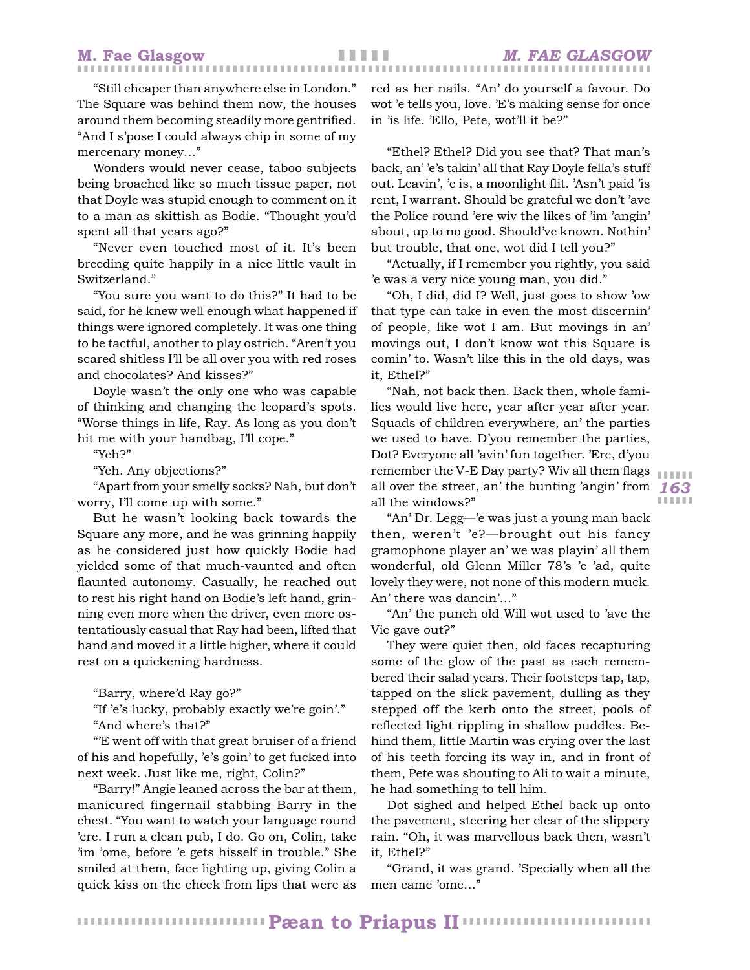"Still cheaper than anywhere else in London." The Square was behind them now, the houses around them becoming steadily more gentrified. "And I s'pose I could always chip in some of my mercenary money…"

Wonders would never cease, taboo subjects being broached like so much tissue paper, not that Doyle was stupid enough to comment on it to a man as skittish as Bodie. "Thought you'd spent all that years ago?"

"Never even touched most of it. It's been breeding quite happily in a nice little vault in Switzerland."

"You sure you want to do this?" It had to be said, for he knew well enough what happened if things were ignored completely. It was one thing to be tactful, another to play ostrich. "Aren't you scared shitless I'll be all over you with red roses and chocolates? And kisses?"

Doyle wasn't the only one who was capable of thinking and changing the leopard's spots. "Worse things in life, Ray. As long as you don't hit me with your handbag, I'll cope."

"Yeh?"

"Yeh. Any objections?"

"Apart from your smelly socks? Nah, but don't worry, I'll come up with some."

But he wasn't looking back towards the Square any more, and he was grinning happily as he considered just how quickly Bodie had yielded some of that much-vaunted and often flaunted autonomy. Casually, he reached out to rest his right hand on Bodie's left hand, grinning even more when the driver, even more ostentatiously casual that Ray had been, lifted that hand and moved it a little higher, where it could rest on a quickening hardness.

"Barry, where'd Ray go?"

"If 'e's lucky, probably exactly we're goin'."

"And where's that?"

"'E went off with that great bruiser of a friend of his and hopefully, 'e's goin' to get fucked into next week. Just like me, right, Colin?"

"Barry!" Angie leaned across the bar at them, manicured fingernail stabbing Barry in the chest. "You want to watch your language round 'ere. I run a clean pub, I do. Go on, Colin, take 'im 'ome, before 'e gets hisself in trouble." She smiled at them, face lighting up, giving Colin a quick kiss on the cheek from lips that were as red as her nails. "An' do yourself a favour. Do wot 'e tells you, love. 'E's making sense for once in 'is life. 'Ello, Pete, wot'll it be?"

"Ethel? Ethel? Did you see that? That man's back, an' 'e's takin' all that Ray Doyle fella's stuff out. Leavin', 'e is, a moonlight flit. 'Asn't paid 'is rent, I warrant. Should be grateful we don't 'ave the Police round 'ere wiv the likes of 'im 'angin' about, up to no good. Should've known. Nothin' but trouble, that one, wot did I tell you?"

"Actually, if I remember you rightly, you said 'e was a very nice young man, you did."

"Oh, I did, did I? Well, just goes to show 'ow that type can take in even the most discernin' of people, like wot I am. But movings in an' movings out, I don't know wot this Square is comin' to. Wasn't like this in the old days, was it, Ethel?"

*163* all over the street, an' the bunting 'angin' from "Nah, not back then. Back then, whole families would live here, year after year after year. Squads of children everywhere, an' the parties we used to have. D'you remember the parties, Dot? Everyone all 'avin' fun together. 'Ere, d'you remember the V-E Day party? Wiv all them flags all the windows?"

"An' Dr. Legg—'e was just a young man back then, weren't 'e?—brought out his fancy gramophone player an' we was playin' all them wonderful, old Glenn Miller 78's 'e 'ad, quite lovely they were, not none of this modern muck. An' there was dancin'…"

"An' the punch old Will wot used to 'ave the Vic gave out?"

They were quiet then, old faces recapturing some of the glow of the past as each remembered their salad years. Their footsteps tap, tap, tapped on the slick pavement, dulling as they stepped off the kerb onto the street, pools of reflected light rippling in shallow puddles. Behind them, little Martin was crying over the last of his teeth forcing its way in, and in front of them, Pete was shouting to Ali to wait a minute, he had something to tell him.

Dot sighed and helped Ethel back up onto the pavement, steering her clear of the slippery rain. "Oh, it was marvellous back then, wasn't it, Ethel?"

"Grand, it was grand. 'Specially when all the men came 'ome…"